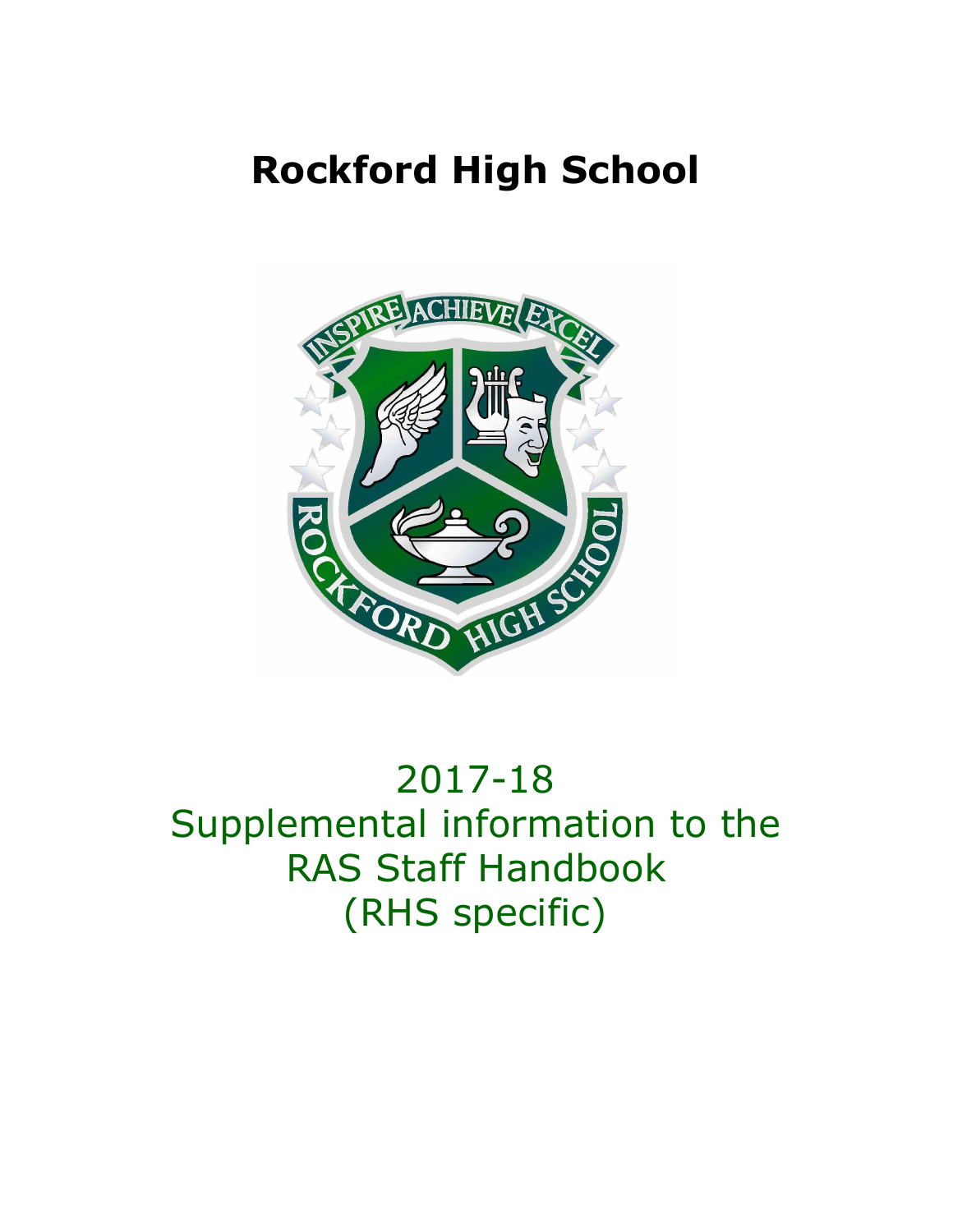# **Rockford High School**



# 2017-18 Supplemental information to the RAS Staff Handbook (RHS specific)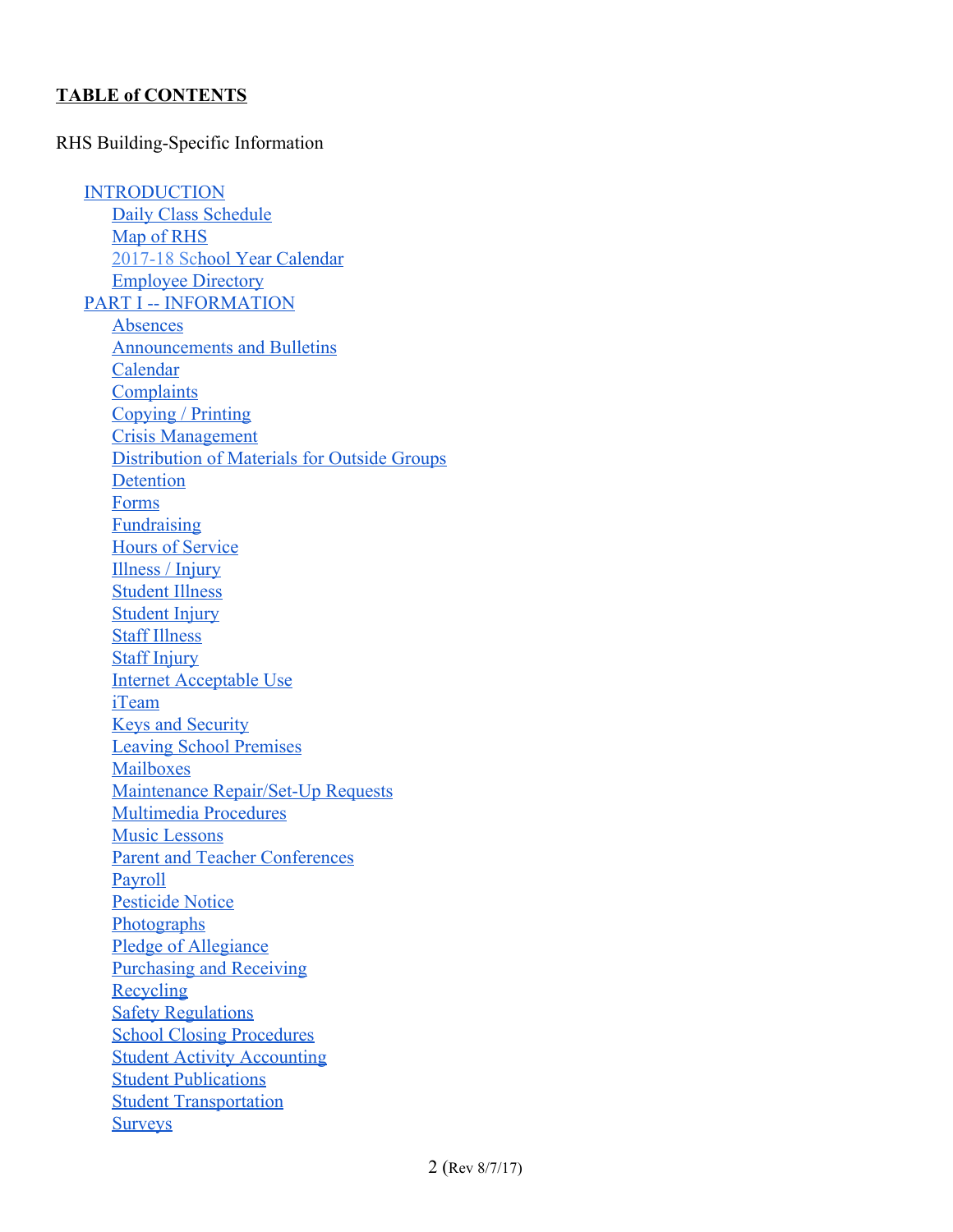#### **TABLE of CONTENTS**

#### RHS Building-Specific Information

**[INTRODUCTION](#page-3-0)** Daily Class [Schedule](#page-4-0) Map of [RHS](#page-5-0) [2017-18](#page-6-0) School Year [Calendar](#page-6-0) [Employee](#page-6-1) Directory PART I -- [INFORMATION](#page-7-1) [Absences](#page-7-0) [Announcements](#page-8-0) and Bulletins [Calendar](#page-9-2) **[Complaints](#page-9-3)** [Copying](#page-9-0) / Printing Crisis [Management](#page-9-1) [Distribution](#page-10-2) of Materials for Outside Groups [Detention](#page-10-1) [Forms](#page-10-0) [Fundraising](#page-10-3) Hours of [Service](#page-11-5) [Illness](#page-11-4) / Injury [Student](#page-11-0) Illness [Student](#page-11-3) Injury Staff [Illness](#page-11-1) Staff [Injury](#page-11-2) Internet [Acceptable](#page-12-1) Use [iTeam](#page-12-5) Keys and [Security](#page-12-2) Leaving School [Premises](#page-12-3) [Mailboxes](#page-12-6) Maintenance [Repair/Set-Up](#page-12-4) Requests [Multimedia](#page-12-0) Procedures Music [Lessons](#page-13-1) Parent and Teacher [Conferences](#page-13-3) [Payroll](#page-13-2) [Pesticide](#page-13-0) Notice **[Photographs](#page-14-3)** Pledge of [Allegiance](#page-14-0) [Purchasing](#page-14-2) and Receiving [Recycling](#page-14-1) Safety [Regulations](#page-15-2) School Closing [Procedures](#page-15-0) Student Activity [Accounting](#page-15-1) Student [Publications](#page-15-3) **Student [Transportation](#page-15-4) [Surveys](#page-16-0)**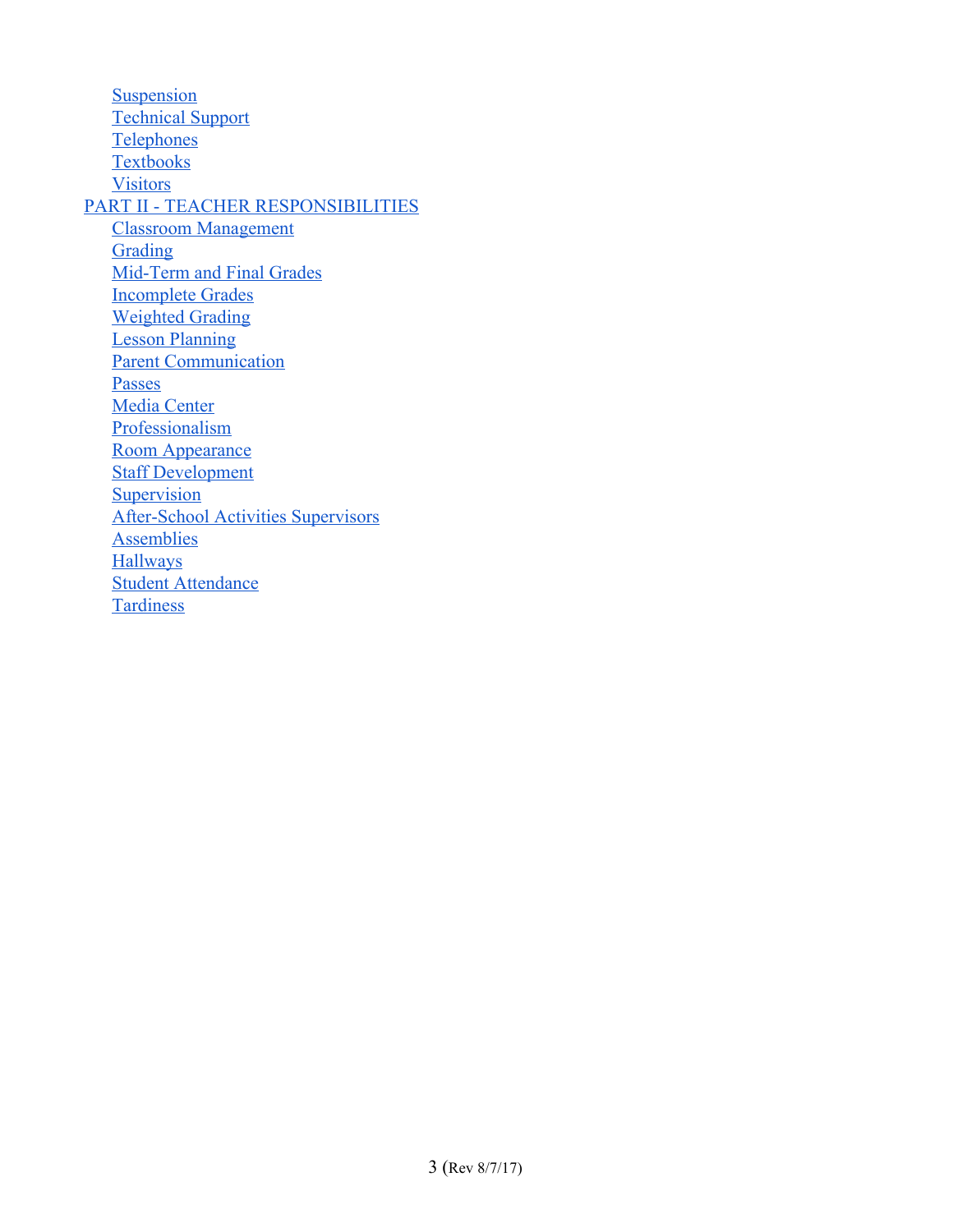**[Suspension](#page-16-4)** [Technical](#page-16-1) Support **[Telephones](#page-16-3) [Textbooks](#page-16-5)** [Visitors](#page-16-2) PART II - TEACHER [RESPONSIBILITIES](#page-17-1) Classroom [Management](#page-17-4) [Grading](#page-17-3) [Mid-Term](#page-17-0) and Final Grades [Incomplete](#page-17-2) Grades [Weighted](#page-18-1) Grading Lesson [Planning](#page-18-0) Parent [Communication](#page-18-2) [Passes](#page-18-3) Media Center **[Professionalism](#page-19-2)** Room [Appearance](#page-19-3) Staff [Development](#page-19-1) **[Supervision](#page-19-0)** [After-School](#page-20-2) Activities Supervisors **[Assemblies](#page-20-0) [Hallways](#page-20-4)** Student [Attendance](#page-20-3) **[Tardiness](#page-20-1)**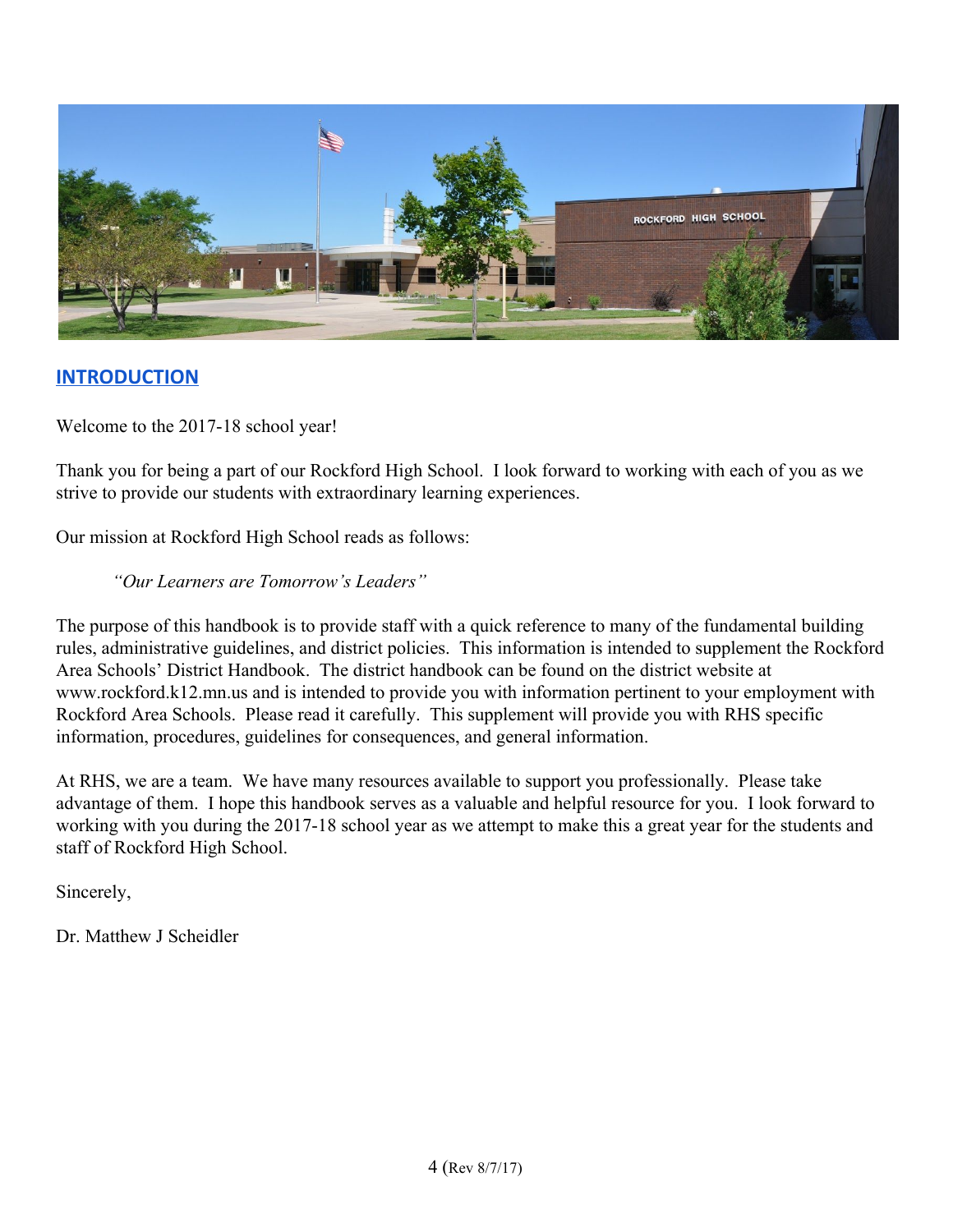

## <span id="page-3-0"></span>**INTRODUCTION**

Welcome to the 2017-18 school year!

Thank you for being a part of our Rockford High School. I look forward to working with each of you as we strive to provide our students with extraordinary learning experiences.

Our mission at Rockford High School reads as follows:

#### *"Our Learners are Tomorrow's Leaders"*

The purpose of this handbook is to provide staff with a quick reference to many of the fundamental building rules, administrative guidelines, and district policies. This information is intended to supplement the Rockford Area Schools' District Handbook. The district handbook can be found on the district website at [www.rockford.k12.mn.us](http://www.rockford.k12.mn.us/) and is intended to provide you with information pertinent to your employment with Rockford Area Schools. Please read it carefully. This supplement will provide you with RHS specific information, procedures, guidelines for consequences, and general information.

At RHS, we are a team. We have many resources available to support you professionally. Please take advantage of them. I hope this handbook serves as a valuable and helpful resource for you. I look forward to working with you during the 2017-18 school year as we attempt to make this a great year for the students and staff of Rockford High School.

Sincerely,

Dr. Matthew J Scheidler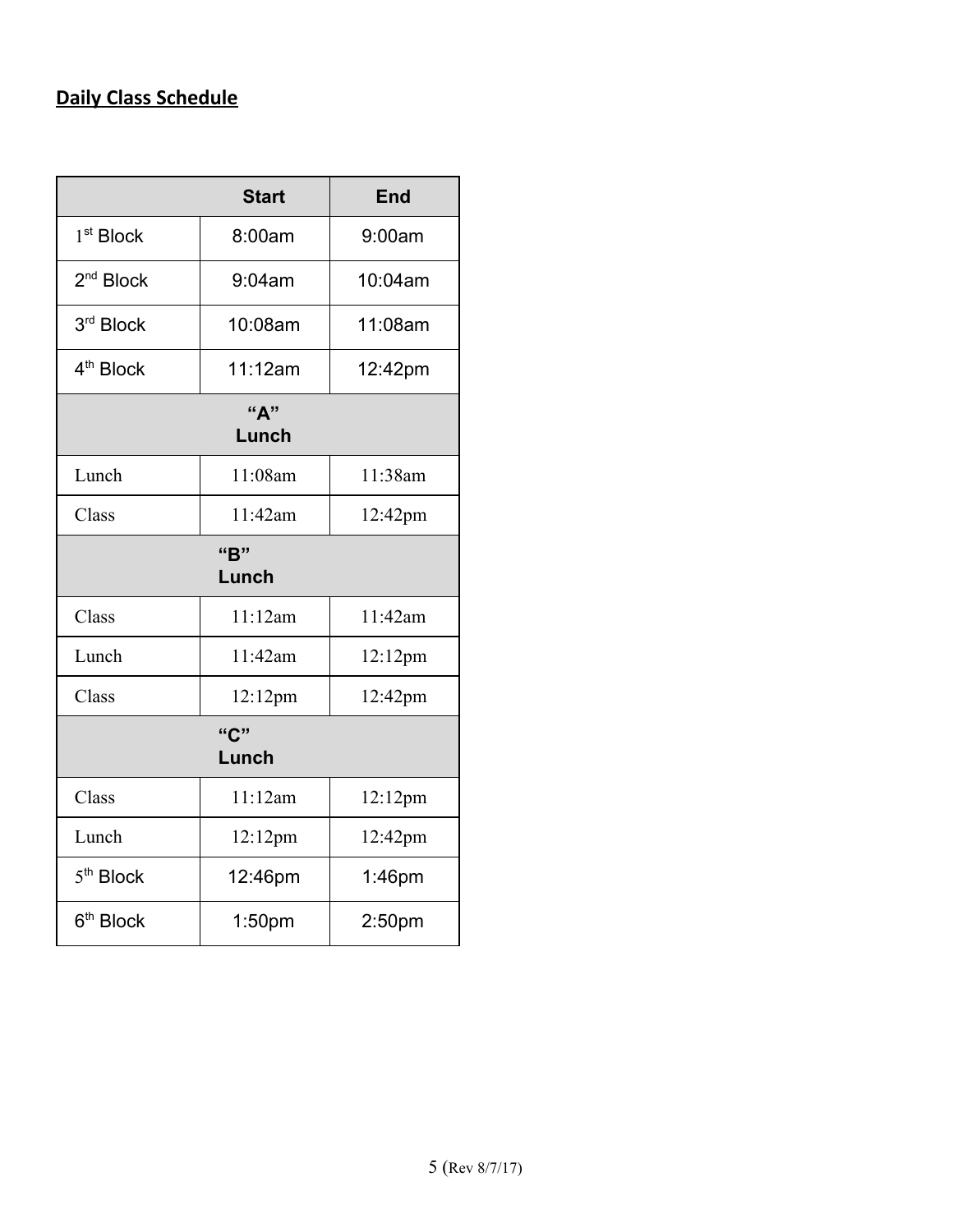## <span id="page-4-0"></span>**Daily Class Schedule**

|                       | <b>Start</b>       | <b>End</b> |  |  |
|-----------------------|--------------------|------------|--|--|
| 1 <sup>st</sup> Block | 8:00am             | 9:00am     |  |  |
| 2 <sup>nd</sup> Block | 9:04am             | 10:04am    |  |  |
| 3rd Block             | 10:08am            | 11:08am    |  |  |
| 4 <sup>th</sup> Block | 11:12am            | 12:42pm    |  |  |
| "А"<br>Lunch          |                    |            |  |  |
| Lunch                 | 11:08am            | 11:38am    |  |  |
| Class                 | 11:42am            | 12:42pm    |  |  |
| "B"                   |                    |            |  |  |
|                       | Lunch              |            |  |  |
| Class                 | 11:12am            | 11:42am    |  |  |
| Lunch                 | 11:42am            | 12:12pm    |  |  |
| Class                 | 12:12pm            | 12:42pm    |  |  |
| "C"                   |                    |            |  |  |
| Lunch                 |                    |            |  |  |
| Class                 | 11:12am            | 12:12pm    |  |  |
| Lunch                 | 12:12pm            | 12:42pm    |  |  |
| 5 <sup>th</sup> Block | 12:46pm            | $1:46$ pm  |  |  |
| 6 <sup>th</sup> Block | 1:50 <sub>pm</sub> | 2:50pm     |  |  |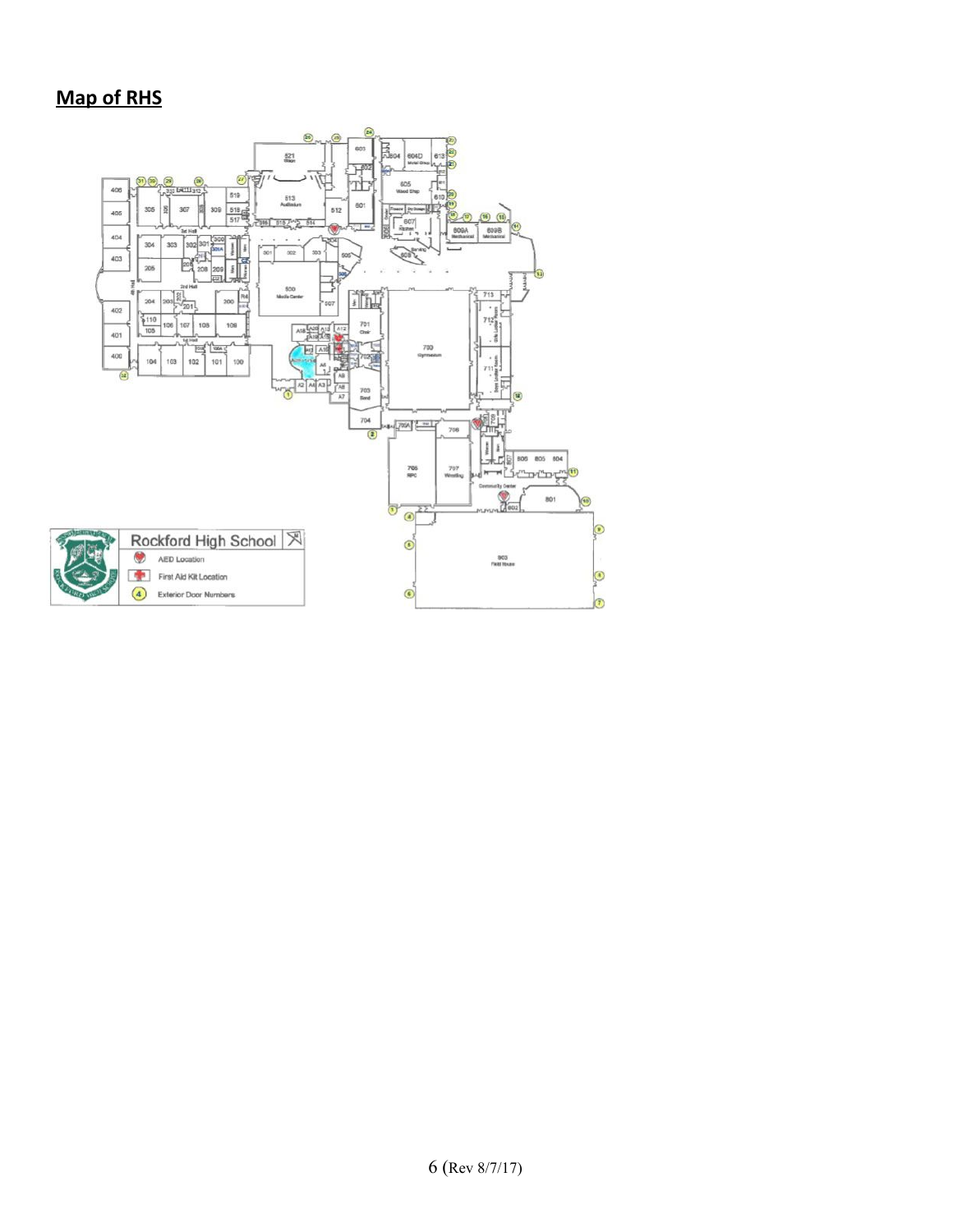## <span id="page-5-0"></span>**Map of RHS**

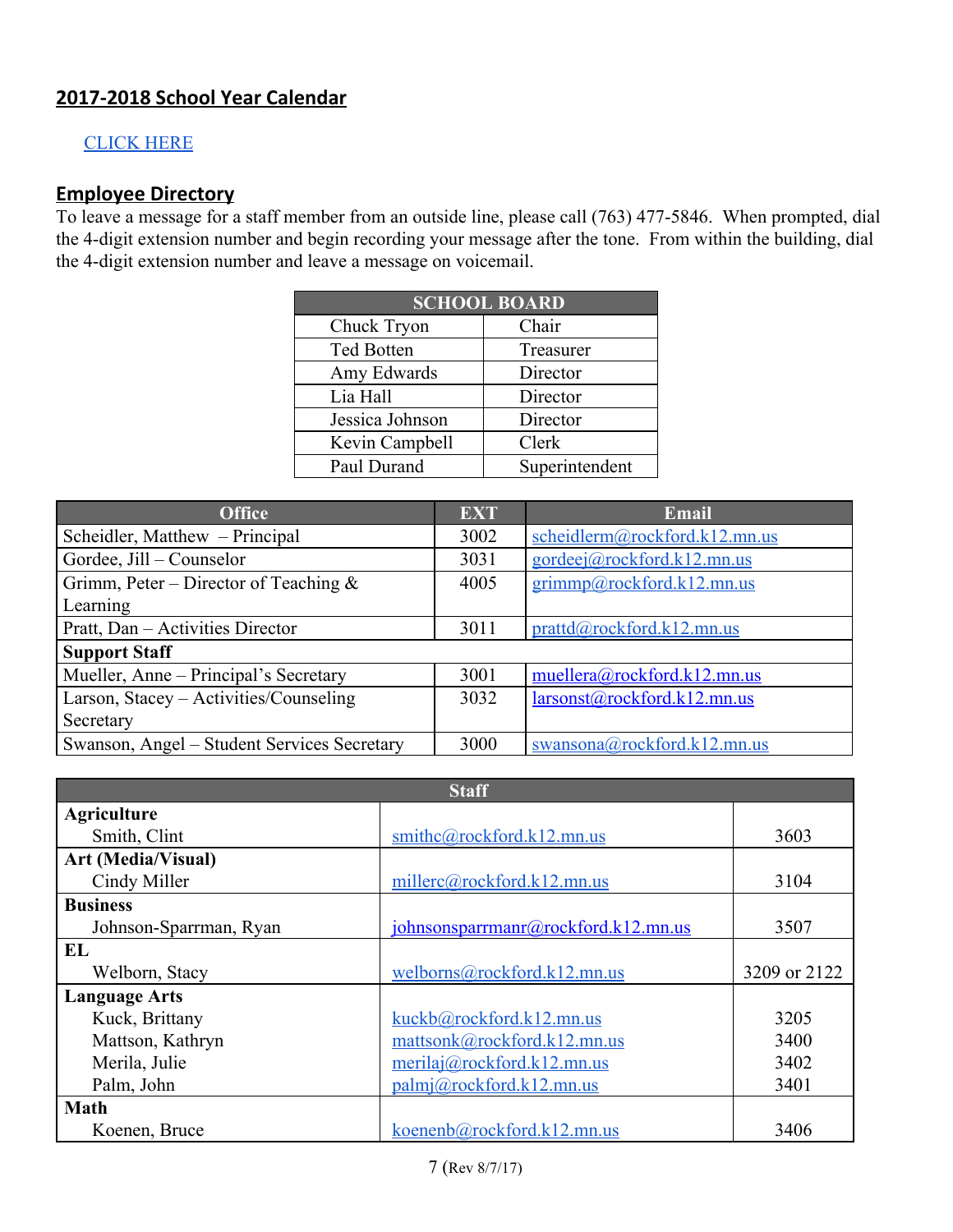## <span id="page-6-0"></span>**2017-2018 School Year Calendar**

#### [CLICK](http://rhs.rockford.k12.mn.us/modules/groups/homepagefiles/cms/2387872/File/2016-17%20Calendar%20FINAL.pdf?sessionid=8db890e85831a384d0efd72a36eed4aa) HERE

#### <span id="page-6-1"></span>**Employee Directory**

To leave a message for a staff member from an outside line, please call (763) 477-5846. When prompted, dial the 4-digit extension number and begin recording your message after the tone. From within the building, dial the 4-digit extension number and leave a message on voicemail.

| <b>SCHOOL BOARD</b> |                |  |  |  |
|---------------------|----------------|--|--|--|
| Chuck Tryon         | Chair          |  |  |  |
| <b>Ted Botten</b>   | Treasurer      |  |  |  |
| Amy Edwards         | Director       |  |  |  |
| Lia Hall            | Director       |  |  |  |
| Jessica Johnson     | Director       |  |  |  |
| Kevin Campbell      | Clerk          |  |  |  |
| Paul Durand         | Superintendent |  |  |  |

| <b>Office</b>                               | <b>EXT</b> | <b>Email</b>                  |
|---------------------------------------------|------------|-------------------------------|
| Scheidler, Matthew – Principal              | 3002       | scheidlerm@rockford.k12.mn.us |
| Gordee, Jill – Counselor                    | 3031       | gordeej@rockford.k12.mn.us    |
| Grimm, Peter – Director of Teaching $\&$    | 4005       | grimmp@rockford.k12.mn.us     |
| Learning                                    |            |                               |
| Pratt, Dan - Activities Director            | 3011       | prattd@, rockford.k12.mn.us   |
| <b>Support Staff</b>                        |            |                               |
| Mueller, Anne – Principal's Secretary       | 3001       | muellera@rockford.k12.mn.us   |
| Larson, Stacey - Activities/Counseling      | 3032       | larsonst@rockford.k12.mn.us   |
| Secretary                                   |            |                               |
| Swanson, Angel – Student Services Secretary | 3000       | swansona@rockford.k12.mn.us   |

| <b>Staff</b>              |                                       |              |  |
|---------------------------|---------------------------------------|--------------|--|
| <b>Agriculture</b>        |                                       |              |  |
| Smith, Clint              | smithc@rockford.k12.mn.us             | 3603         |  |
| <b>Art (Media/Visual)</b> |                                       |              |  |
| Cindy Miller              | millerc@rockford.k12.mn.us            | 3104         |  |
| <b>Business</b>           |                                       |              |  |
| Johnson-Sparrman, Ryan    | joh nso nsparrmann@rockford.k12.mn.us | 3507         |  |
| EL                        |                                       |              |  |
| Welborn, Stacy            | welborns@rockford.k12.mn.us           | 3209 or 2122 |  |
| <b>Language Arts</b>      |                                       |              |  |
| Kuck, Brittany            | kuckb@rockford.k12.mn.us              | 3205         |  |
| Mattson, Kathryn          | mattsonk@rockford.k12.mn.us           | 3400         |  |
| Merila, Julie             | merilaj@rockford.k12.mn.us            | 3402         |  |
| Palm, John                | palmj@rockford.k12.mn.us              | 3401         |  |
| <b>Math</b>               |                                       |              |  |
| Koenen, Bruce             | koenenb@rockford.k12.mn.us            | 3406         |  |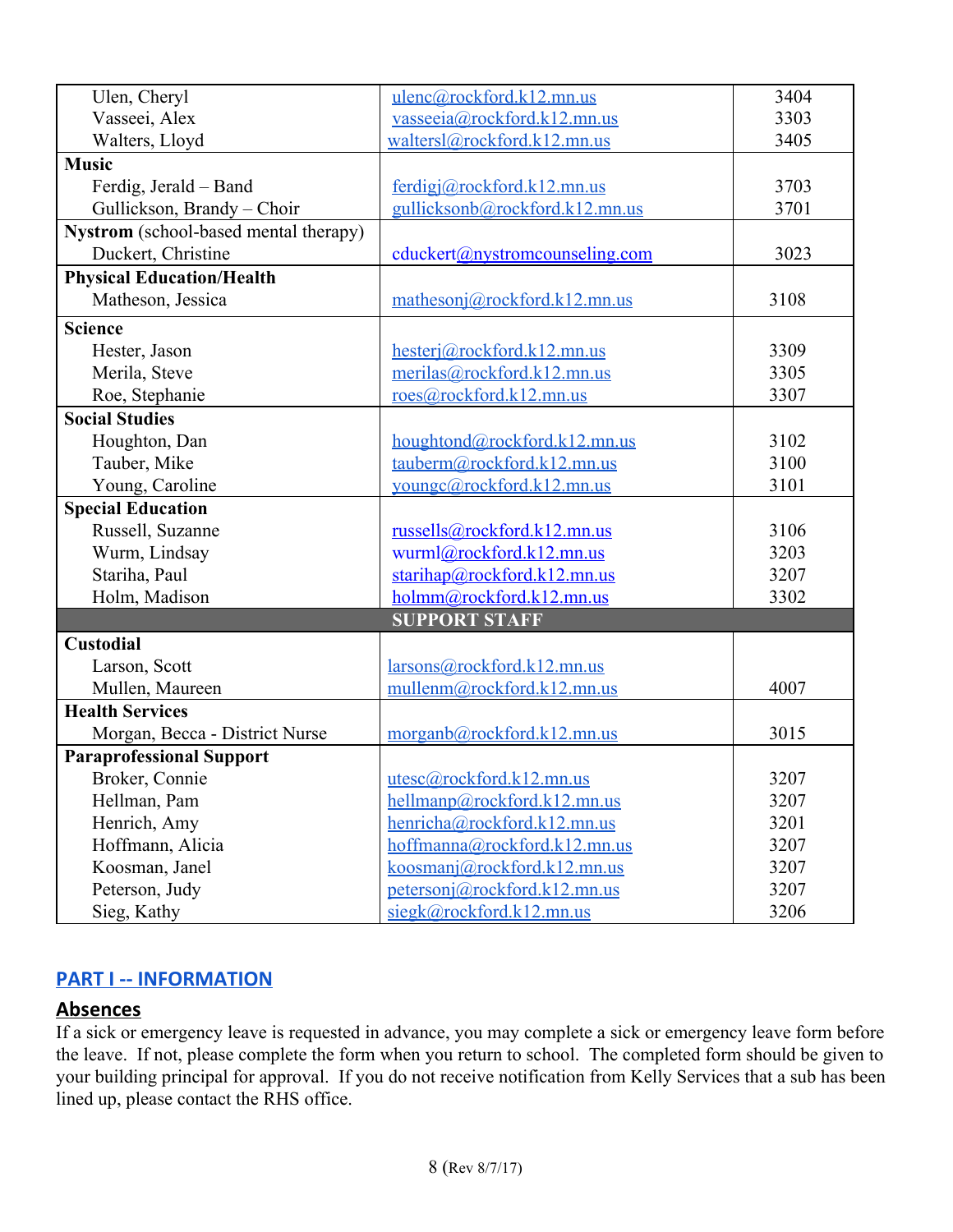| Ulen, Cheryl                          | ulenc@rockford.k12.mn.us       | 3404 |
|---------------------------------------|--------------------------------|------|
| Vasseei, Alex                         | vasseeia@rockford.k12.mn.us    | 3303 |
| Walters, Lloyd                        | waltersl@rockford.k12.mn.us    | 3405 |
| <b>Music</b>                          |                                |      |
| Ferdig, Jerald – Band                 | ferdigi@rockford.k12.mn.us     | 3703 |
| Gullickson, Brandy - Choir            | gullicksonb@rockford.k12.mn.us | 3701 |
| Nystrom (school-based mental therapy) |                                |      |
| Duckert, Christine                    | cduckert@nystromcounseling.com | 3023 |
| <b>Physical Education/Health</b>      |                                |      |
| Matheson, Jessica                     | mathesonj@rockford.k12.mn.us   | 3108 |
| <b>Science</b>                        |                                |      |
| Hester, Jason                         | hesterj@rockford.k12.mn.us     | 3309 |
| Merila, Steve                         | merilas@rockford.k12.mn.us     | 3305 |
| Roe, Stephanie                        | roes@rockford.k12.mn.us        | 3307 |
| <b>Social Studies</b>                 |                                |      |
| Houghton, Dan                         | houghtond@rockford.k12.mn.us   | 3102 |
| Tauber, Mike                          | tauberm@rockford.k12.mn.us     | 3100 |
| Young, Caroline                       | youngc@rockford.k12.mn.us      | 3101 |
| <b>Special Education</b>              |                                |      |
| Russell, Suzanne                      | russells@rockford.k12.mn.us    | 3106 |
| Wurm, Lindsay                         | wurml@rockford.k12.mn.us       | 3203 |
| Stariha, Paul                         | starihap@rockford.k12.mn.us    | 3207 |
| Holm, Madison                         | holmm@rockford.k12.mn.us       | 3302 |
|                                       | <b>SUPPORT STAFF</b>           |      |
| <b>Custodial</b>                      |                                |      |
| Larson, Scott                         | larsons@rockford.k12.mn.us     |      |
| Mullen, Maureen                       | mullenm@rockford.k12.mn.us     | 4007 |
| <b>Health Services</b>                |                                |      |
| Morgan, Becca - District Nurse        | morganb@rockford.k12.mn.us     | 3015 |
| <b>Paraprofessional Support</b>       |                                |      |
| Broker, Connie                        | utesc@rockford.k12.mn.us       | 3207 |
| Hellman, Pam                          | hellmanp@, rockford.k12.mn.us  | 3207 |
| Henrich, Amy                          | henricha@rockford.k12.mn.us    | 3201 |
| Hoffmann, Alicia                      | hoffmanna@rockford.k12.mn.us   | 3207 |
| Koosman, Janel                        | koosmanj@rockford.k12.mn.us    | 3207 |
| Peterson, Judy                        | petersonj@rockford.k12.mn.us   | 3207 |
| Sieg, Kathy                           | siegk@rockford.k12.mn.us       | 3206 |

## <span id="page-7-1"></span>**PART I -- INFORMATION**

## <span id="page-7-0"></span>**Absences**

If a sick or emergency leave is requested in advance, you may complete a sick or emergency leave form before the leave. If not, please complete the form when you return to school. The completed form should be given to your building principal for approval. If you do not receive notification from Kelly Services that a sub has been lined up, please contact the RHS office.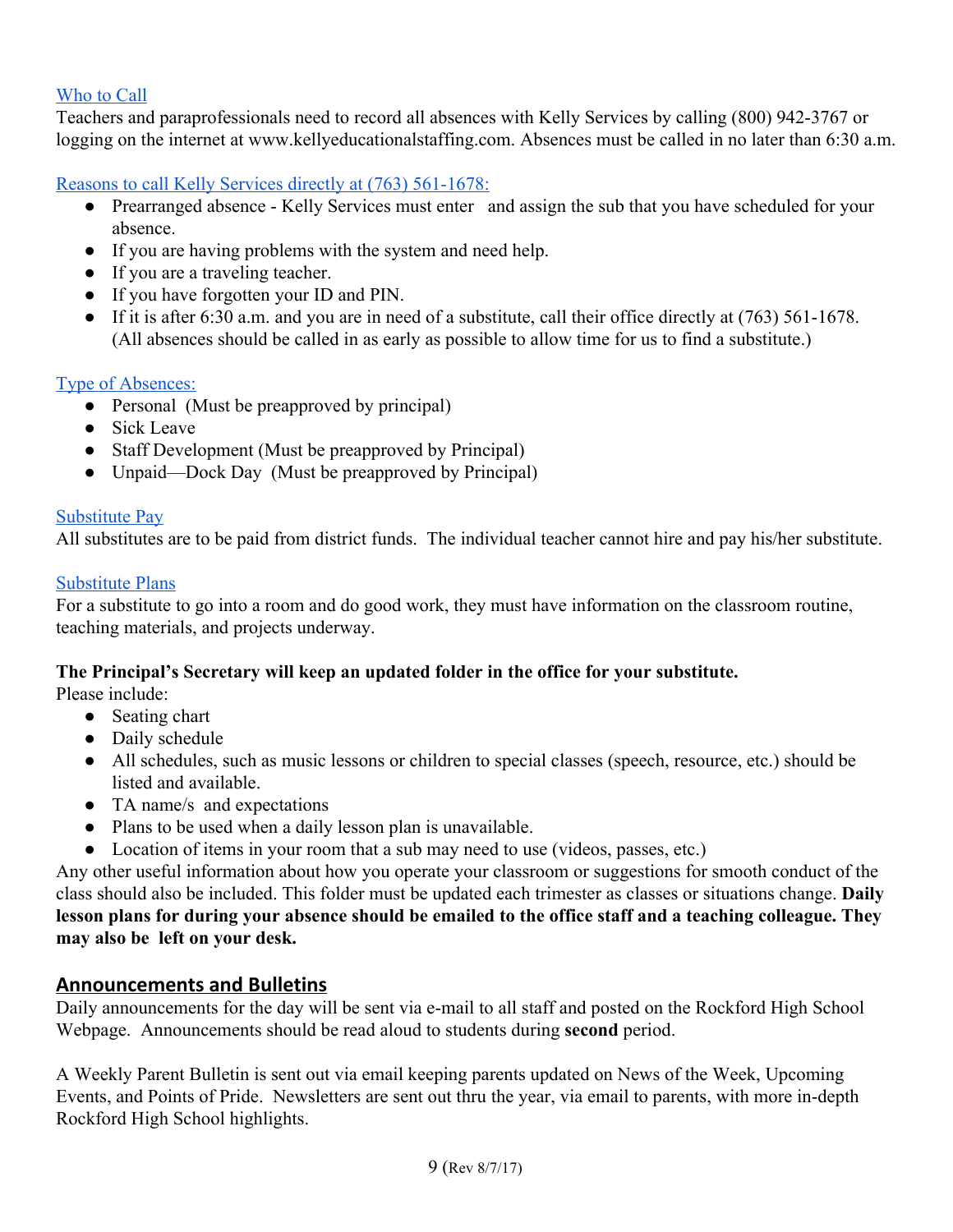#### Who to Call

Teachers and paraprofessionals need to record all absences with Kelly Services by calling (800) 942-3767 or logging on the internet at [www.kellyeducationalstaffing.com](http://www.kellyeducationalstaffing.com/). Absences must be called in no later than 6:30 a.m.

Reasons to call Kelly Services directly at (763) 561-1678:

- Prearranged absence Kelly Services must enter and assign the sub that you have scheduled for your absence.
- If you are having problems with the system and need help.
- If you are a traveling teacher.
- If you have forgotten your ID and PIN.
- If it is after 6:30 a.m. and you are in need of a substitute, call their office directly at (763) 561-1678. (All absences should be called in as early as possible to allow time for us to find a substitute.)

#### Type of Absences:

- Personal (Must be preapproved by principal)
- Sick Leave
- Staff Development (Must be preapproved by Principal)
- Unpaid—Dock Day (Must be preapproved by Principal)

#### Substitute Pay

All substitutes are to be paid from district funds. The individual teacher cannot hire and pay his/her substitute.

#### Substitute Plans

For a substitute to go into a room and do good work, they must have information on the classroom routine, teaching materials, and projects underway.

#### **The Principal's Secretary will keep an updated folder in the office for your substitute.**

Please include:

- Seating chart
- Daily schedule
- All schedules, such as music lessons or children to special classes (speech, resource, etc.) should be listed and available.
- TA name/s and expectations
- Plans to be used when a daily lesson plan is unavailable.
- Location of items in your room that a sub may need to use (videos, passes, etc.)

Any other useful information about how you operate your classroom or suggestions for smooth conduct of the class should also be included. This folder must be updated each trimester as classes or situations change. **Daily** lesson plans for during your absence should be emailed to the office staff and a teaching colleague. They **may also be left on your desk.**

## <span id="page-8-0"></span>**Announcements and Bulletins**

Daily announcements for the day will be sent via e-mail to all staff and posted on the Rockford High School Webpage. Announcements should be read aloud to students during **second** period.

A Weekly Parent Bulletin is sent out via email keeping parents updated on News of the Week, Upcoming Events, and Points of Pride. Newsletters are sent out thru the year, via email to parents, with more in-depth Rockford High School highlights.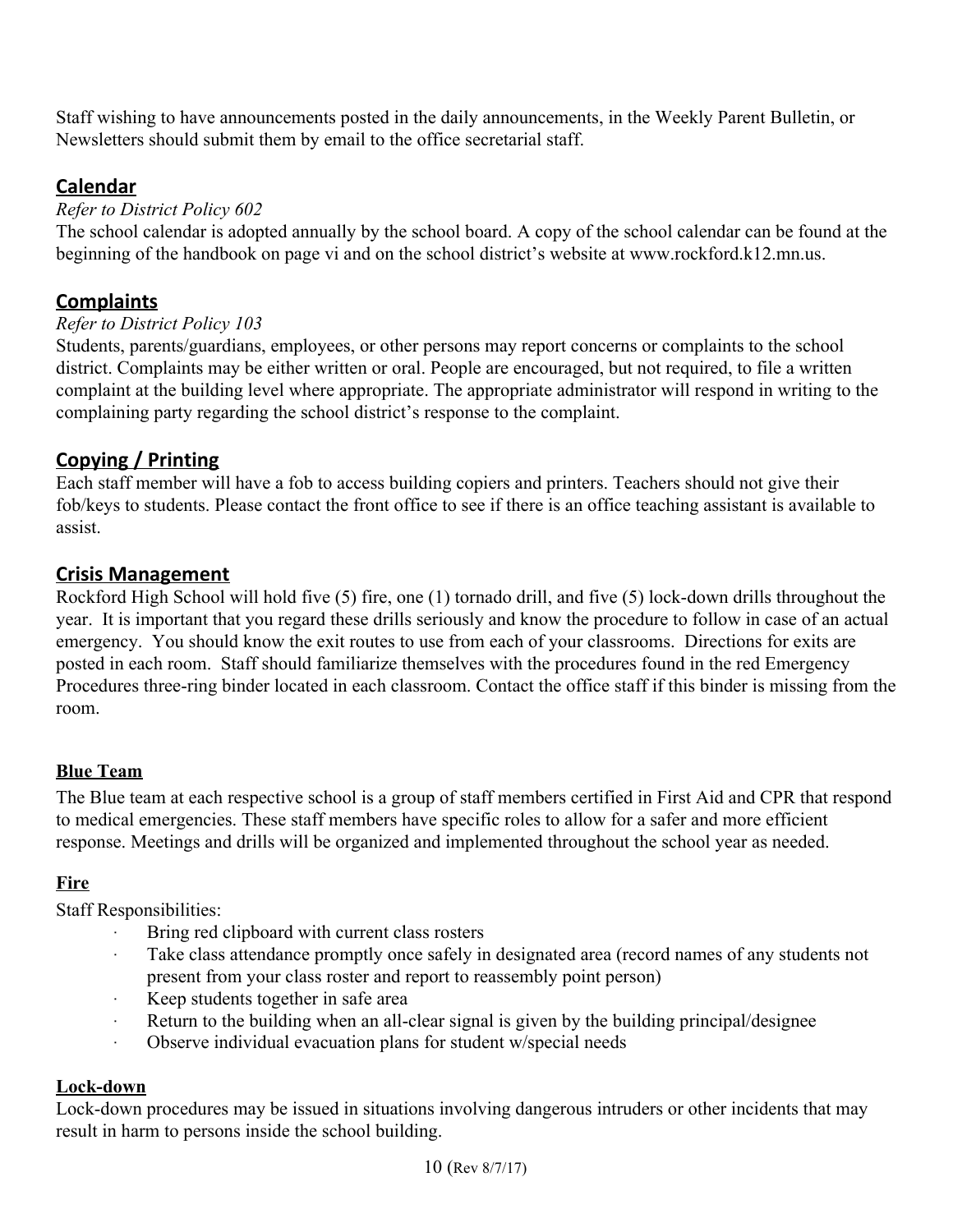Staff wishing to have announcements posted in the daily announcements, in the Weekly Parent Bulletin, or Newsletters should submit them by email to the office secretarial staff.

## <span id="page-9-2"></span>**Calendar**

#### *Refer to District Policy 602*

The school calendar is adopted annually by the school board. A copy of the school calendar can be found at the beginning of the handbook on page vi and on the school district's website at www.rockford.k12.mn.us.

## <span id="page-9-3"></span>**Complaints**

#### *Refer to District Policy 103*

Students, parents/guardians, employees, or other persons may report concerns or complaints to the school district. Complaints may be either written or oral. People are encouraged, but not required, to file a written complaint at the building level where appropriate. The appropriate administrator will respond in writing to the complaining party regarding the school district's response to the complaint.

## <span id="page-9-0"></span>**Copying / Printing**

Each staff member will have a fob to access building copiers and printers. Teachers should not give their fob/keys to students. Please contact the front office to see if there is an office teaching assistant is available to assist.

## <span id="page-9-1"></span>**Crisis Management**

Rockford High School will hold five (5) fire, one (1) tornado drill, and five (5) lock-down drills throughout the year. It is important that you regard these drills seriously and know the procedure to follow in case of an actual emergency. You should know the exit routes to use from each of your classrooms. Directions for exits are posted in each room. Staff should familiarize themselves with the procedures found in the red Emergency Procedures three-ring binder located in each classroom. Contact the office staff if this binder is missing from the room.

## **Blue Team**

The Blue team at each respective school is a group of staff members certified in First Aid and CPR that respond to medical emergencies. These staff members have specific roles to allow for a safer and more efficient response. Meetings and drills will be organized and implemented throughout the school year as needed.

## **Fire**

Staff Responsibilities:

- Bring red clipboard with current class rosters
- Take class attendance promptly once safely in designated area (record names of any students not present from your class roster and report to reassembly point person)
- · Keep students together in safe area
- · Return to the building when an all-clear signal is given by the building principal/designee
- · Observe individual evacuation plans for student w/special needs

#### **Lock-down**

Lock-down procedures may be issued in situations involving dangerous intruders or other incidents that may result in harm to persons inside the school building.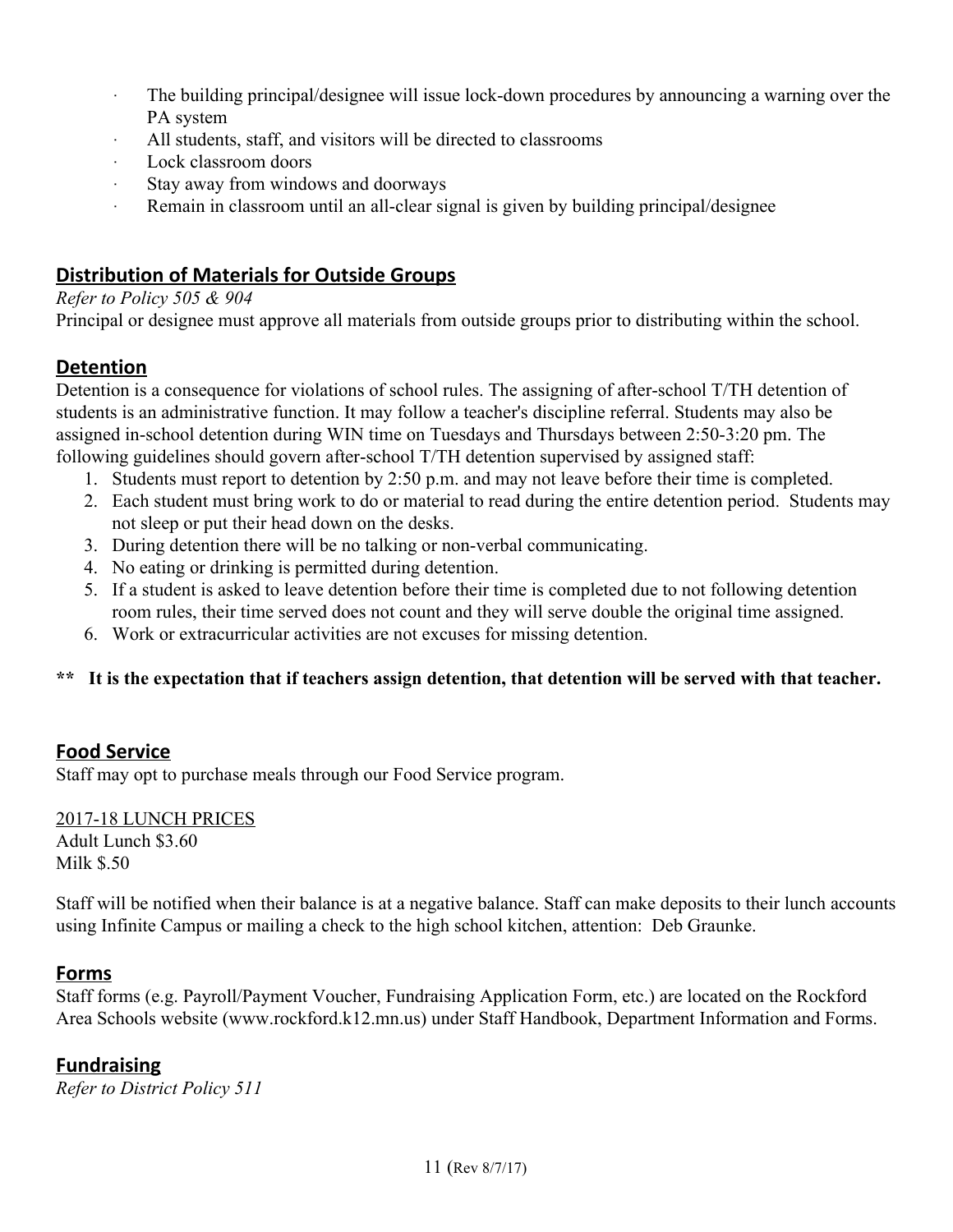- · The building principal/designee will issue lock-down procedures by announcing a warning over the PA system
- · All students, staff, and visitors will be directed to classrooms
- Lock classroom doors
- Stay away from windows and doorways
- · Remain in classroom until an all-clear signal is given by building principal/designee

## <span id="page-10-2"></span>**Distribution of Materials for Outside Groups**

#### *Refer to Policy 505 & 904*

Principal or designee must approve all materials from outside groups prior to distributing within the school.

## <span id="page-10-1"></span>**Detention**

Detention is a consequence for violations of school rules. The assigning of after-school T/TH detention of students is an administrative function. It may follow a teacher's discipline referral. Students may also be assigned in-school detention during WIN time on Tuesdays and Thursdays between 2:50-3:20 pm. The following guidelines should govern after-school T/TH detention supervised by assigned staff:

- 1. Students must report to detention by 2:50 p.m. and may not leave before their time is completed.
- 2. Each student must bring work to do or material to read during the entire detention period. Students may not sleep or put their head down on the desks.
- 3. During detention there will be no talking or non-verbal communicating.
- 4. No eating or drinking is permitted during detention.
- 5. If a student is asked to leave detention before their time is completed due to not following detention room rules, their time served does not count and they will serve double the original time assigned.
- 6. Work or extracurricular activities are not excuses for missing detention.

#### \*\* It is the expectation that if teachers assign detention, that detention will be served with that teacher.

## **Food Service**

Staff may opt to purchase meals through our Food Service program.

2017-18 LUNCH PRICES Adult Lunch \$3.60 Milk \$.50

Staff will be notified when their balance is at a negative balance. Staff can make deposits to their lunch accounts using Infinite Campus or mailing a check to the high school kitchen, attention: Deb Graunke.

#### <span id="page-10-0"></span>**Forms**

Staff forms (e.g. Payroll/Payment Voucher, Fundraising Application Form, etc.) are located on the Rockford Area Schools website (www.rockford.k12.mn.us) under Staff Handbook, Department Information and Forms.

## <span id="page-10-3"></span>**Fundraising**

*Refer to District Policy 511*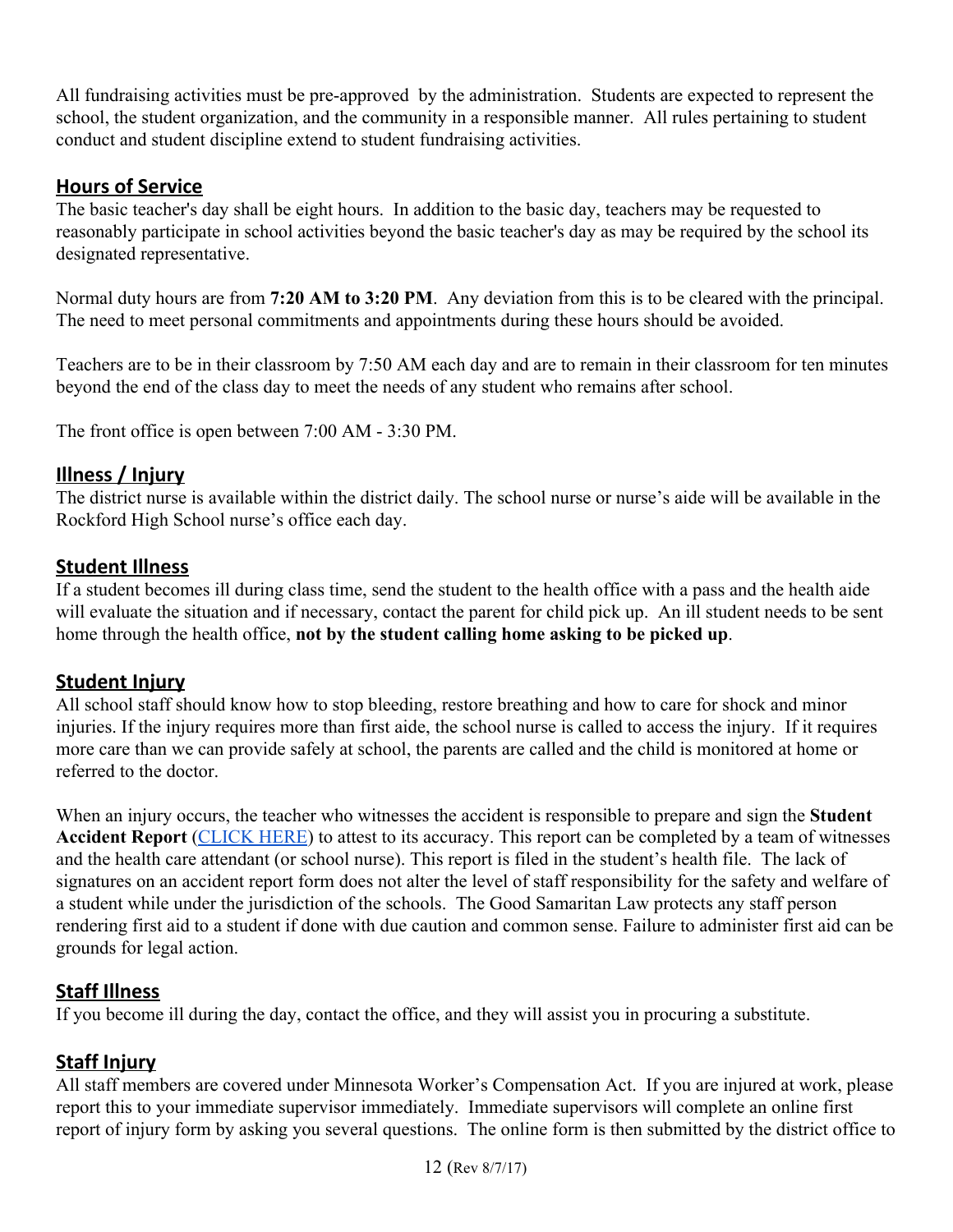All fundraising activities must be pre-approved by the administration. Students are expected to represent the school, the student organization, and the community in a responsible manner. All rules pertaining to student conduct and student discipline extend to student fundraising activities.

## <span id="page-11-5"></span>**Hours of Service**

The basic teacher's day shall be eight hours. In addition to the basic day, teachers may be requested to reasonably participate in school activities beyond the basic teacher's day as may be required by the school its designated representative.

Normal duty hours are from **7:20 AM to 3:20 PM**. Any deviation from this is to be cleared with the principal. The need to meet personal commitments and appointments during these hours should be avoided.

Teachers are to be in their classroom by 7:50 AM each day and are to remain in their classroom for ten minutes beyond the end of the class day to meet the needs of any student who remains after school.

The front office is open between 7:00 AM - 3:30 PM.

## <span id="page-11-4"></span>**Illness / Injury**

The district nurse is available within the district daily. The school nurse or nurse's aide will be available in the Rockford High School nurse's office each day.

## <span id="page-11-0"></span>**Student Illness**

If a student becomes ill during class time, send the student to the health office with a pass and the health aide will evaluate the situation and if necessary, contact the parent for child pick up. An ill student needs to be sent home through the health office, **not by the student calling home asking to be picked up**.

## <span id="page-11-3"></span>**Student Injury**

All school staff should know how to stop bleeding, restore breathing and how to care for shock and minor injuries. If the injury requires more than first aide, the school nurse is called to access the injury. If it requires more care than we can provide safely at school, the parents are called and the child is monitored at home or referred to the doctor.

When an injury occurs, the teacher who witnesses the accident is responsible to prepare and sign the **Student Accident Report** [\(CLICK](http://ras-staff-handbook.district.rockford.k12.mn.us/modules/groups/homepagefiles/gwp/2387872/4951851/File/Student%20Accident%20Report%20Form.pdf?2b65de&345aea&sessionid=85e935fa2683070fe7b3081fe0a19eb7) HERE) to attest to its accuracy. This report can be completed by a team of witnesses and the health care attendant (or school nurse). This report is filed in the student's health file. The lack of signatures on an accident report form does not alter the level of staff responsibility for the safety and welfare of a student while under the jurisdiction of the schools. The Good Samaritan Law protects any staff person rendering first aid to a student if done with due caution and common sense. Failure to administer first aid can be grounds for legal action.

## <span id="page-11-1"></span>**Staff Illness**

If you become ill during the day, contact the office, and they will assist you in procuring a substitute.

## <span id="page-11-2"></span>**Staff Injury**

All staff members are covered under Minnesota Worker's Compensation Act. If you are injured at work, please report this to your immediate supervisor immediately. Immediate supervisors will complete an online first report of injury form by asking you several questions. The online form is then submitted by the district office to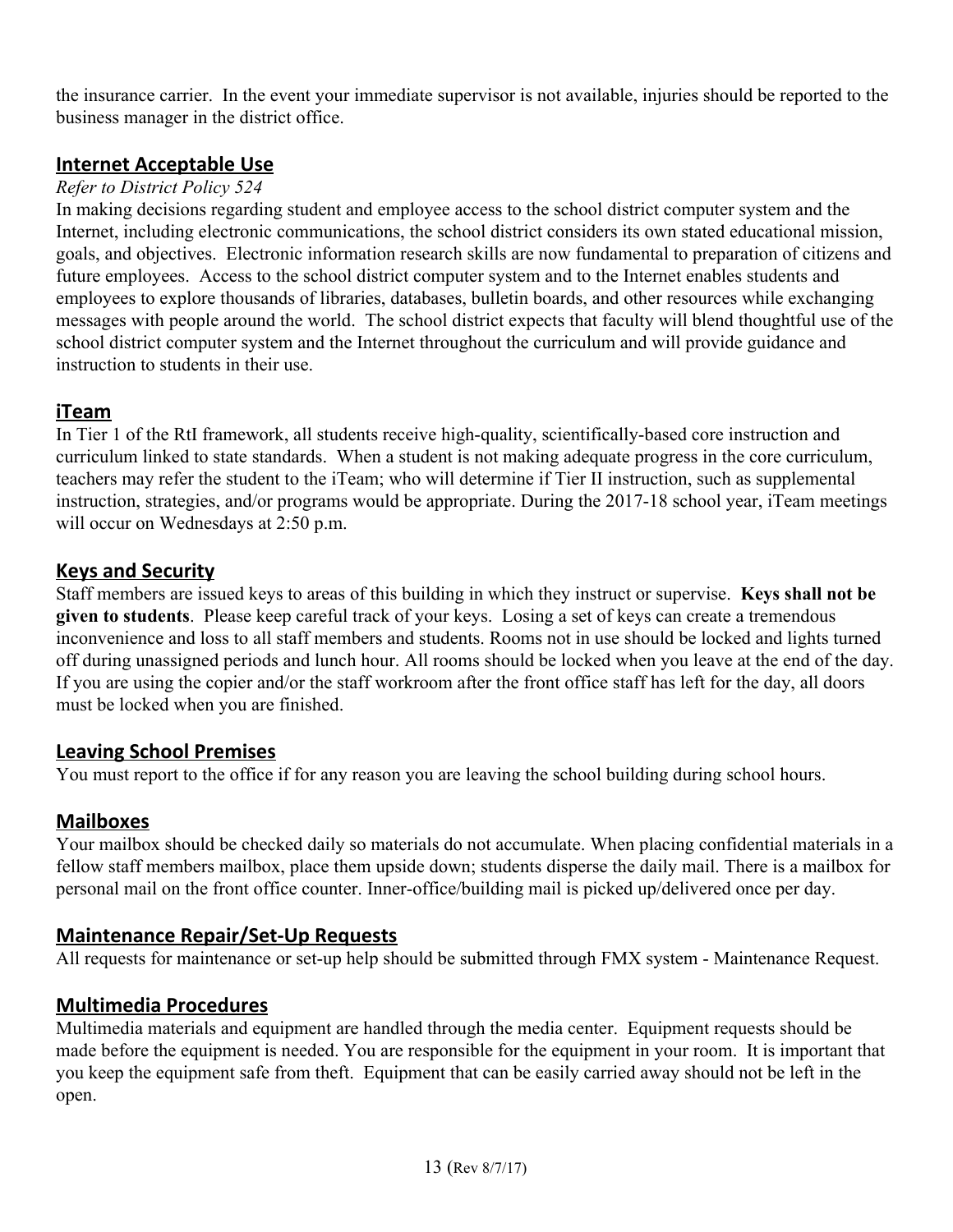the insurance carrier. In the event your immediate supervisor is not available, injuries should be reported to the business manager in the district office.

## <span id="page-12-1"></span>**Internet Acceptable Use**

#### *Refer to District Policy 524*

In making decisions regarding student and employee access to the school district computer system and the Internet, including electronic communications, the school district considers its own stated educational mission, goals, and objectives. Electronic information research skills are now fundamental to preparation of citizens and future employees. Access to the school district computer system and to the Internet enables students and employees to explore thousands of libraries, databases, bulletin boards, and other resources while exchanging messages with people around the world. The school district expects that faculty will blend thoughtful use of the school district computer system and the Internet throughout the curriculum and will provide guidance and instruction to students in their use.

#### <span id="page-12-5"></span>**iTeam**

In Tier 1 of the RtI framework, all students receive high-quality, scientifically-based core instruction and curriculum linked to state standards. When a student is not making adequate progress in the core curriculum, teachers may refer the student to the iTeam; who will determine if Tier II instruction, such as supplemental instruction, strategies, and/or programs would be appropriate. During the 2017-18 school year, iTeam meetings will occur on Wednesdays at 2:50 p.m.

## <span id="page-12-2"></span>**Keys and Security**

Staff members are issued keys to areas of this building in which they instruct or supervise. **Keys shall not be given to students**. Please keep careful track of your keys. Losing a set of keys can create a tremendous inconvenience and loss to all staff members and students. Rooms not in use should be locked and lights turned off during unassigned periods and lunch hour. All rooms should be locked when you leave at the end of the day. If you are using the copier and/or the staff workroom after the front office staff has left for the day, all doors must be locked when you are finished.

## <span id="page-12-3"></span>**Leaving School Premises**

You must report to the office if for any reason you are leaving the school building during school hours.

## <span id="page-12-6"></span>**Mailboxes**

Your mailbox should be checked daily so materials do not accumulate. When placing confidential materials in a fellow staff members mailbox, place them upside down; students disperse the daily mail. There is a mailbox for personal mail on the front office counter. Inner-office/building mail is picked up/delivered once per day.

## <span id="page-12-4"></span>**Maintenance Repair/Set-Up Requests**

All requests for maintenance or set-up help should be submitted through FMX system - Maintenance Request.

## <span id="page-12-0"></span>**Multimedia Procedures**

Multimedia materials and equipment are handled through the media center. Equipment requests should be made before the equipment is needed. You are responsible for the equipment in your room. It is important that you keep the equipment safe from theft. Equipment that can be easily carried away should not be left in the open.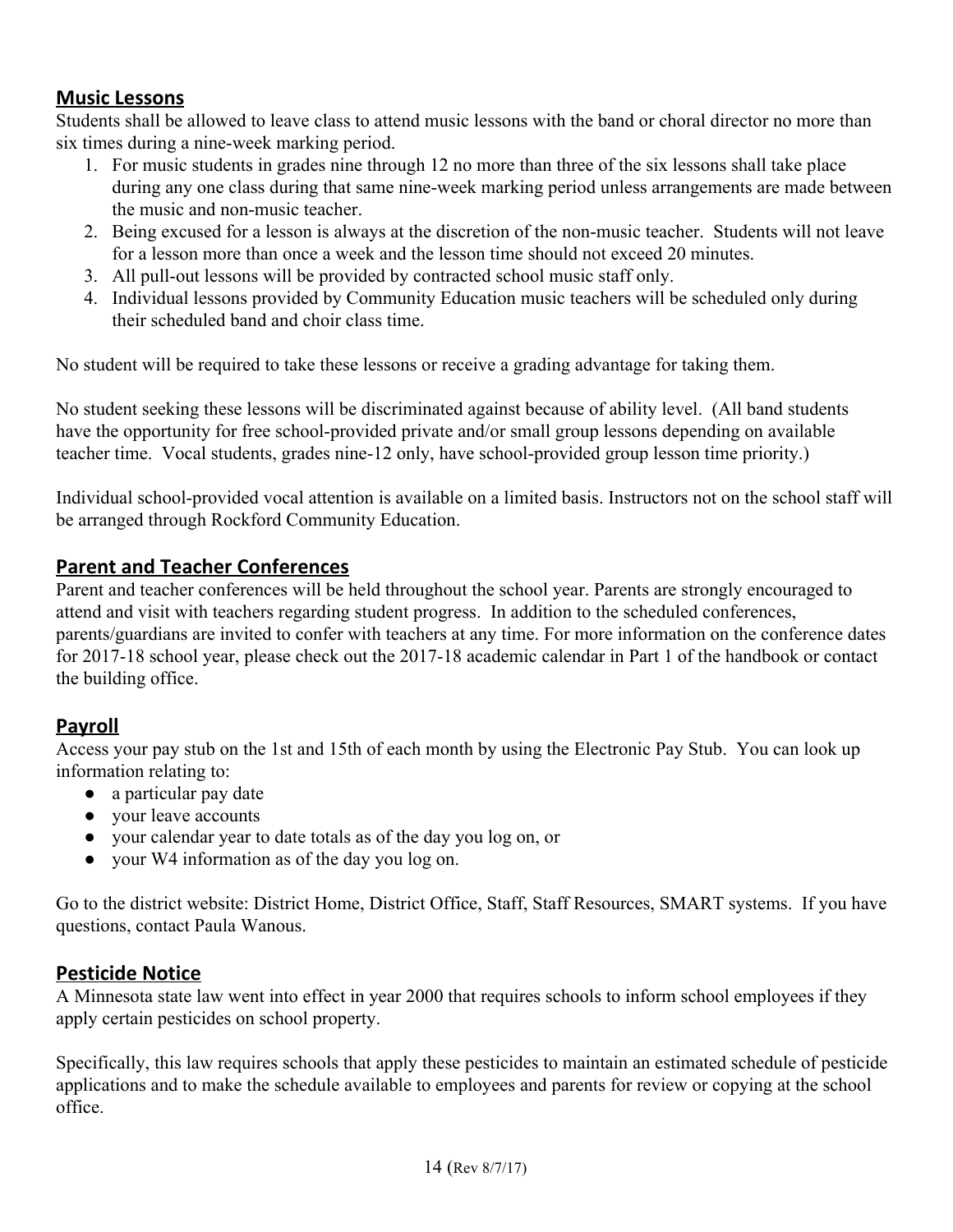## <span id="page-13-1"></span>**Music Lessons**

Students shall be allowed to leave class to attend music lessons with the band or choral director no more than six times during a nine-week marking period.

- 1. For music students in grades nine through 12 no more than three of the six lessons shall take place during any one class during that same nine-week marking period unless arrangements are made between the music and non-music teacher.
- 2. Being excused for a lesson is always at the discretion of the non-music teacher. Students will not leave for a lesson more than once a week and the lesson time should not exceed 20 minutes.
- 3. All pull-out lessons will be provided by contracted school music staff only.
- 4. Individual lessons provided by Community Education music teachers will be scheduled only during their scheduled band and choir class time.

No student will be required to take these lessons or receive a grading advantage for taking them.

No student seeking these lessons will be discriminated against because of ability level. (All band students have the opportunity for free school-provided private and/or small group lessons depending on available teacher time. Vocal students, grades nine-12 only, have school-provided group lesson time priority.)

Individual school-provided vocal attention is available on a limited basis. Instructors not on the school staff will be arranged through Rockford Community Education.

## <span id="page-13-3"></span>**Parent and Teacher Conferences**

Parent and teacher conferences will be held throughout the school year. Parents are strongly encouraged to attend and visit with teachers regarding student progress. In addition to the scheduled conferences, parents/guardians are invited to confer with teachers at any time. For more information on the conference dates for 2017-18 school year, please check out the 2017-18 academic calendar in Part 1 of the handbook or contact the building office.

## <span id="page-13-2"></span>**Payroll**

Access your pay stub on the 1st and 15th of each month by using the Electronic Pay Stub. You can look up information relating to:

- a particular pay date
- vour leave accounts
- your calendar year to date totals as of the day you log on, or
- your W4 information as of the day you log on.

Go to the district website: District Home, District Office, Staff, Staff Resources, SMART systems. If you have questions, contact Paula Wanous.

## <span id="page-13-0"></span>**Pesticide Notice**

A Minnesota state law went into effect in year 2000 that requires schools to inform school employees if they apply certain pesticides on school property.

Specifically, this law requires schools that apply these pesticides to maintain an estimated schedule of pesticide applications and to make the schedule available to employees and parents for review or copying at the school office.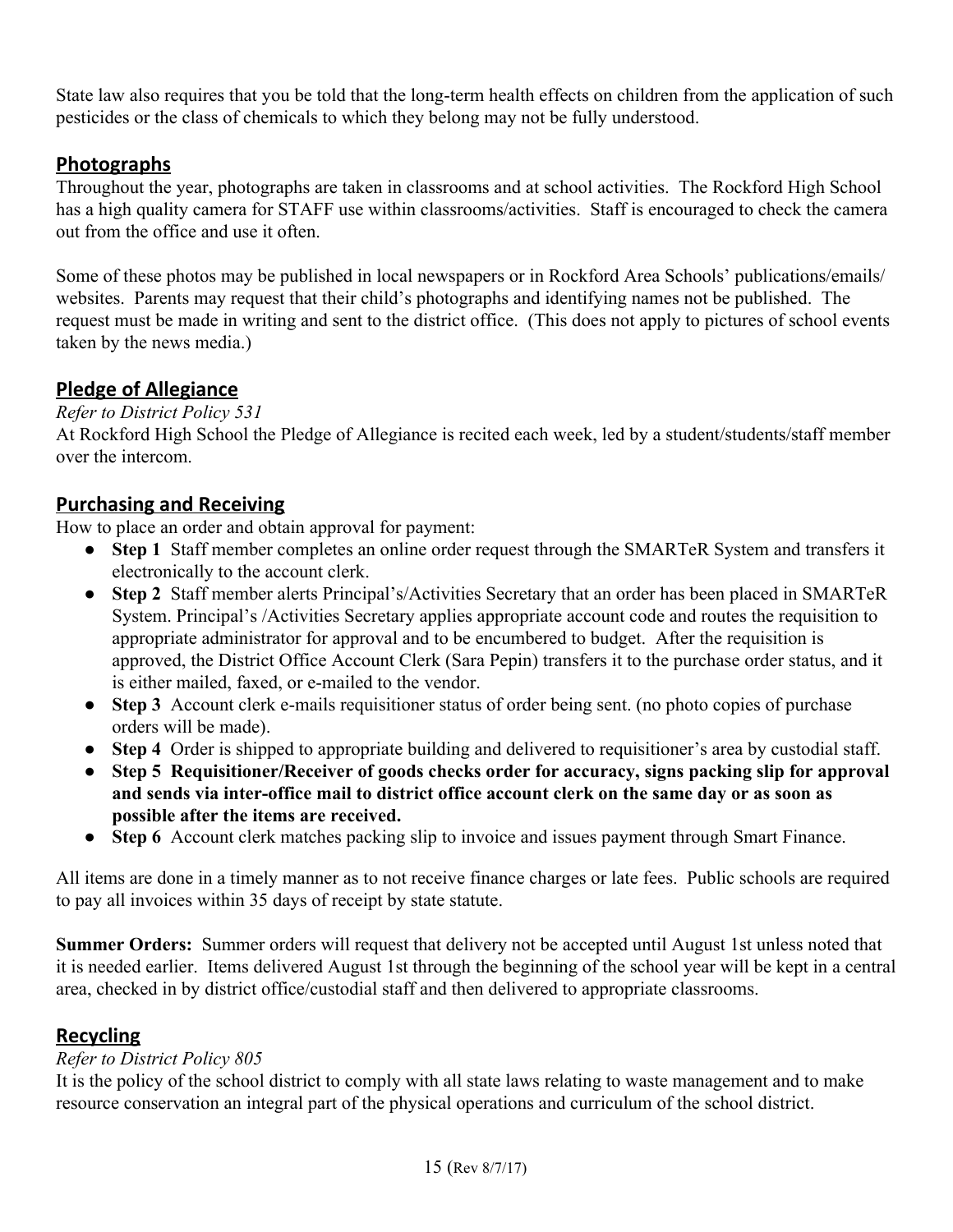State law also requires that you be told that the long-term health effects on children from the application of such pesticides or the class of chemicals to which they belong may not be fully understood.

## <span id="page-14-3"></span>**Photographs**

Throughout the year, photographs are taken in classrooms and at school activities. The Rockford High School has a high quality camera for STAFF use within classrooms/activities. Staff is encouraged to check the camera out from the office and use it often.

Some of these photos may be published in local newspapers or in Rockford Area Schools' publications/emails/ websites. Parents may request that their child's photographs and identifying names not be published. The request must be made in writing and sent to the district office. (This does not apply to pictures of school events taken by the news media.)

## <span id="page-14-0"></span>**Pledge of Allegiance**

*Refer to District Policy 531*

At Rockford High School the Pledge of Allegiance is recited each week, led by a student/students/staff member over the intercom.

## <span id="page-14-2"></span>**Purchasing and Receiving**

How to place an order and obtain approval for payment:

- **Step 1** Staff member completes an online order request through the SMARTeR System and transfers it electronically to the account clerk.
- **Step 2** Staff member alerts Principal's/Activities Secretary that an order has been placed in SMARTeR System. Principal's /Activities Secretary applies appropriate account code and routes the requisition to appropriate administrator for approval and to be encumbered to budget. After the requisition is approved, the District Office Account Clerk (Sara Pepin) transfers it to the purchase order status, and it is either mailed, faxed, or e-mailed to the vendor.
- **Step 3** Account clerk e-mails requisitioner status of order being sent. (no photo copies of purchase orders will be made).
- **Step 4** Order is shipped to appropriate building and delivered to requisitioner's area by custodial staff.
- **Step 5 Requisitioner/Receiver of goods checks order for accuracy, signs packing slip for approval and sends via inter-office mail to district office account clerk on the same day or as soon as possible after the items are received.**
- **Step 6** Account clerk matches packing slip to invoice and issues payment through Smart Finance.

All items are done in a timely manner as to not receive finance charges or late fees. Public schools are required to pay all invoices within 35 days of receipt by state statute.

**Summer Orders:** Summer orders will request that delivery not be accepted until August 1st unless noted that it is needed earlier. Items delivered August 1st through the beginning of the school year will be kept in a central area, checked in by district office/custodial staff and then delivered to appropriate classrooms.

## <span id="page-14-1"></span>**Recycling**

## *Refer to District Policy 805*

It is the policy of the school district to comply with all state laws relating to waste management and to make resource conservation an integral part of the physical operations and curriculum of the school district.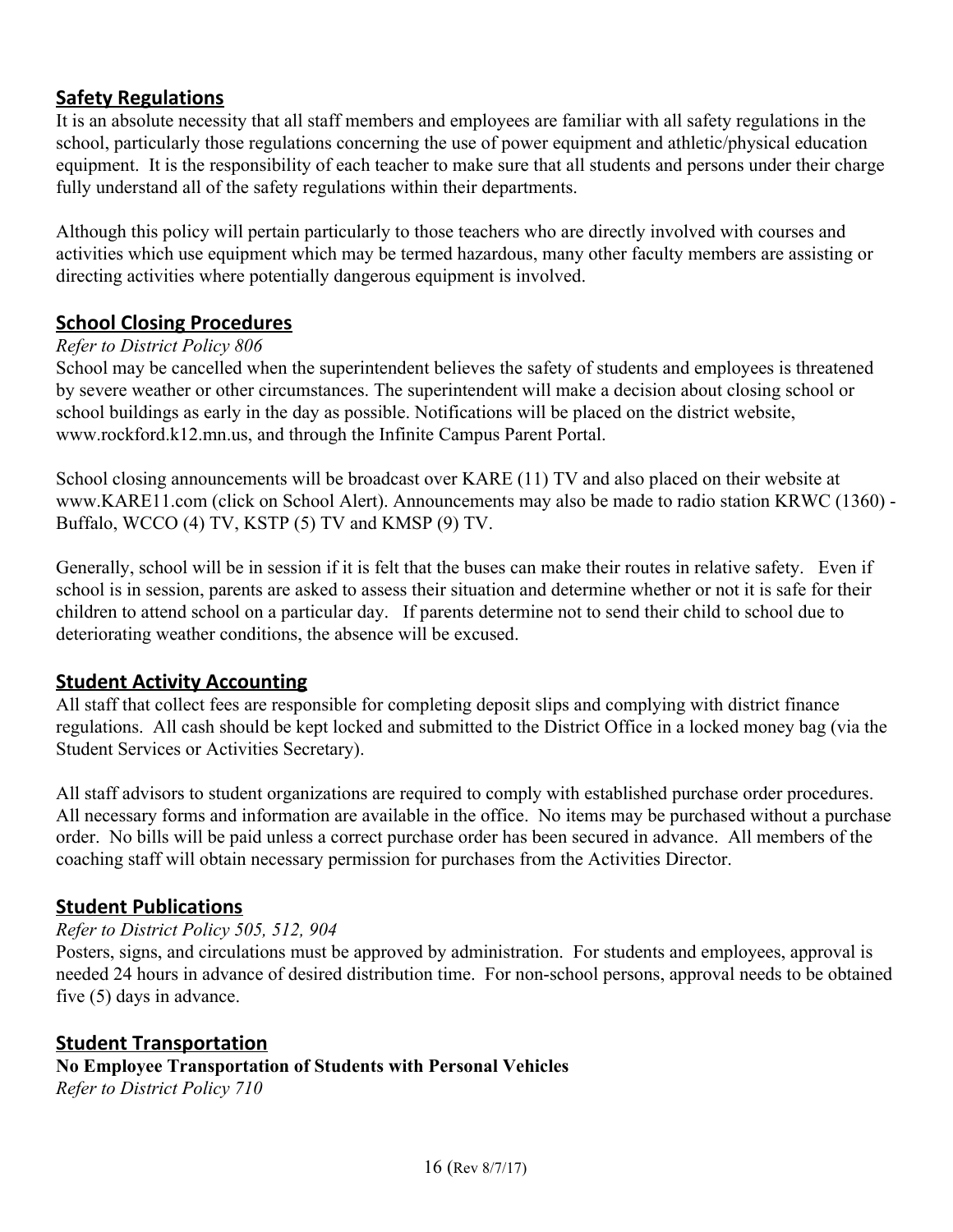## <span id="page-15-2"></span>**Safety Regulations**

It is an absolute necessity that all staff members and employees are familiar with all safety regulations in the school, particularly those regulations concerning the use of power equipment and athletic/physical education equipment. It is the responsibility of each teacher to make sure that all students and persons under their charge fully understand all of the safety regulations within their departments.

Although this policy will pertain particularly to those teachers who are directly involved with courses and activities which use equipment which may be termed hazardous, many other faculty members are assisting or directing activities where potentially dangerous equipment is involved.

## <span id="page-15-0"></span>**School Closing Procedures**

## *Refer to District Policy 806*

School may be cancelled when the superintendent believes the safety of students and employees is threatened by severe weather or other circumstances. The superintendent will make a decision about closing school or school buildings as early in the day as possible. Notifications will be placed on the district website[,](http://www.rockford.k12.mn.us/) [www.rockford.k12.mn.us,](http://www.rockford.k12.mn.us/) and through the Infinite Campus Parent Portal.

School closing announcements will be broadcast over KARE (11) TV and also placed on their website at www.KARE11.com (click on School Alert). Announcements may also be made to radio station KRWC (1360) - Buffalo, WCCO (4) TV, KSTP (5) TV and KMSP (9) TV.

Generally, school will be in session if it is felt that the buses can make their routes in relative safety. Even if school is in session, parents are asked to assess their situation and determine whether or not it is safe for their children to attend school on a particular day. If parents determine not to send their child to school due to deteriorating weather conditions, the absence will be excused.

## <span id="page-15-1"></span>**Student Activity Accounting**

All staff that collect fees are responsible for completing deposit slips and complying with district finance regulations. All cash should be kept locked and submitted to the District Office in a locked money bag (via the Student Services or Activities Secretary).

All staff advisors to student organizations are required to comply with established purchase order procedures. All necessary forms and information are available in the office. No items may be purchased without a purchase order. No bills will be paid unless a correct purchase order has been secured in advance. All members of the coaching staff will obtain necessary permission for purchases from the Activities Director.

## <span id="page-15-3"></span>**Student Publications**

#### *Refer to District Policy 505, 512, 904*

Posters, signs, and circulations must be approved by administration. For students and employees, approval is needed 24 hours in advance of desired distribution time. For non-school persons, approval needs to be obtained five (5) days in advance.

#### <span id="page-15-4"></span>**Student Transportation No Employee Transportation of Students with Personal Vehicles** *Refer to District Policy 710*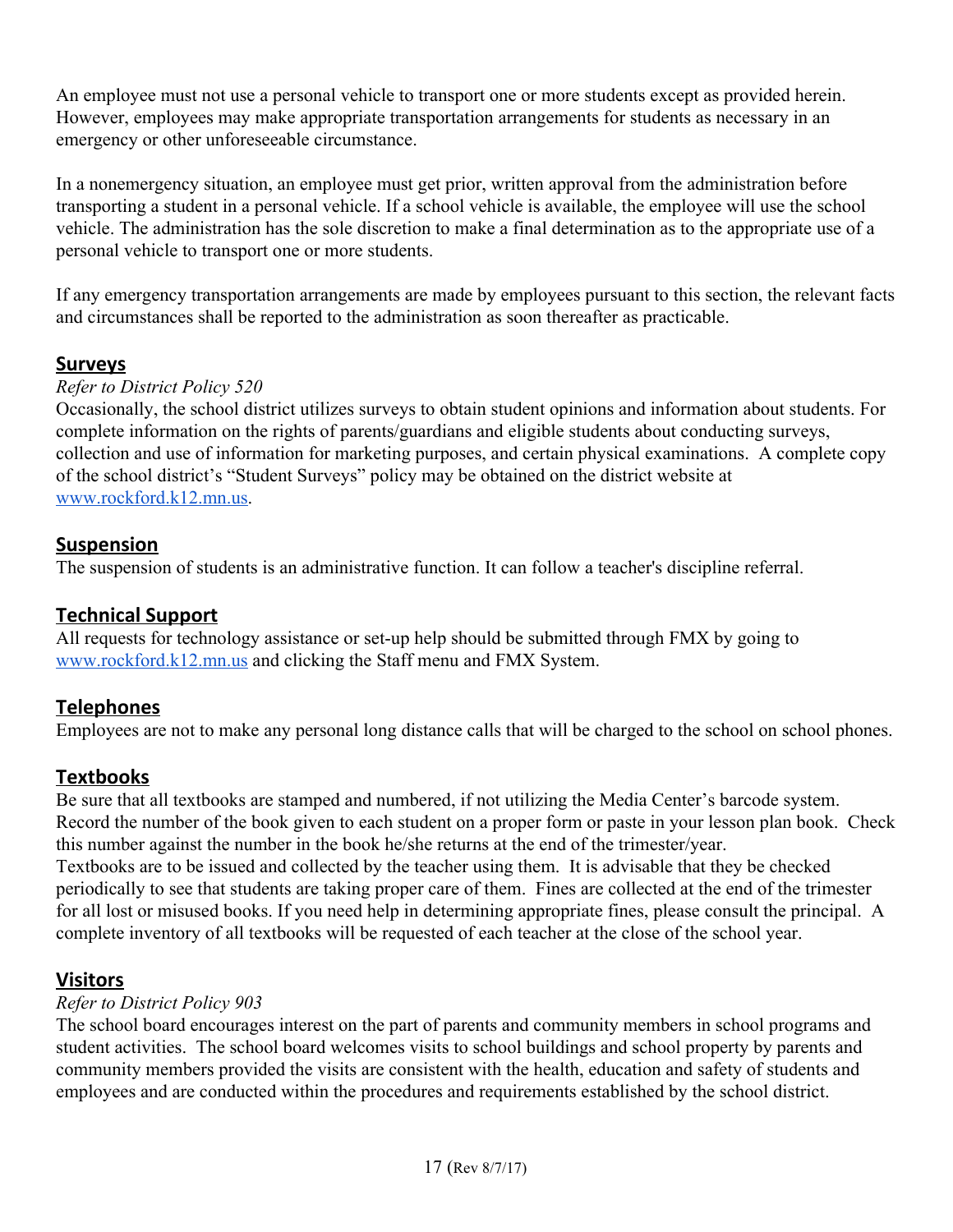An employee must not use a personal vehicle to transport one or more students except as provided herein. However, employees may make appropriate transportation arrangements for students as necessary in an emergency or other unforeseeable circumstance.

In a nonemergency situation, an employee must get prior, written approval from the administration before transporting a student in a personal vehicle. If a school vehicle is available, the employee will use the school vehicle. The administration has the sole discretion to make a final determination as to the appropriate use of a personal vehicle to transport one or more students.

If any emergency transportation arrangements are made by employees pursuant to this section, the relevant facts and circumstances shall be reported to the administration as soon thereafter as practicable.

## <span id="page-16-0"></span>**Surveys**

#### *Refer to District Policy 520*

Occasionally, the school district utilizes surveys to obtain student opinions and information about students. For complete information on the rights of parents/guardians and eligible students about conducting surveys, collection and use of information for marketing purposes, and certain physical examinations. A complete copy of the school district's "Student Surveys" policy may be obtained on the district website at [www.rockford.k12.mn.us.](http://www.rockford.k12.mn.us/)

## <span id="page-16-4"></span>**Suspension**

The suspension of students is an administrative function. It can follow a teacher's discipline referral.

## <span id="page-16-1"></span>**Technical Support**

All requests for technology assistance or set-up help should be submitted through FMX by going to [www.rockford.k12.mn.us](http://www.rockford.k12.mn.us/) and clicking the Staff menu and FMX System.

## <span id="page-16-3"></span>**Telephones**

Employees are not to make any personal long distance calls that will be charged to the school on school phones.

## <span id="page-16-5"></span>**Textbooks**

Be sure that all textbooks are stamped and numbered, if not utilizing the Media Center's barcode system. Record the number of the book given to each student on a proper form or paste in your lesson plan book. Check this number against the number in the book he/she returns at the end of the trimester/year. Textbooks are to be issued and collected by the teacher using them. It is advisable that they be checked periodically to see that students are taking proper care of them. Fines are collected at the end of the trimester for all lost or misused books. If you need help in determining appropriate fines, please consult the principal. A complete inventory of all textbooks will be requested of each teacher at the close of the school year.

## <span id="page-16-2"></span>**Visitors**

#### *Refer to District Policy 903*

The school board encourages interest on the part of parents and community members in school programs and student activities. The school board welcomes visits to school buildings and school property by parents and community members provided the visits are consistent with the health, education and safety of students and employees and are conducted within the procedures and requirements established by the school district.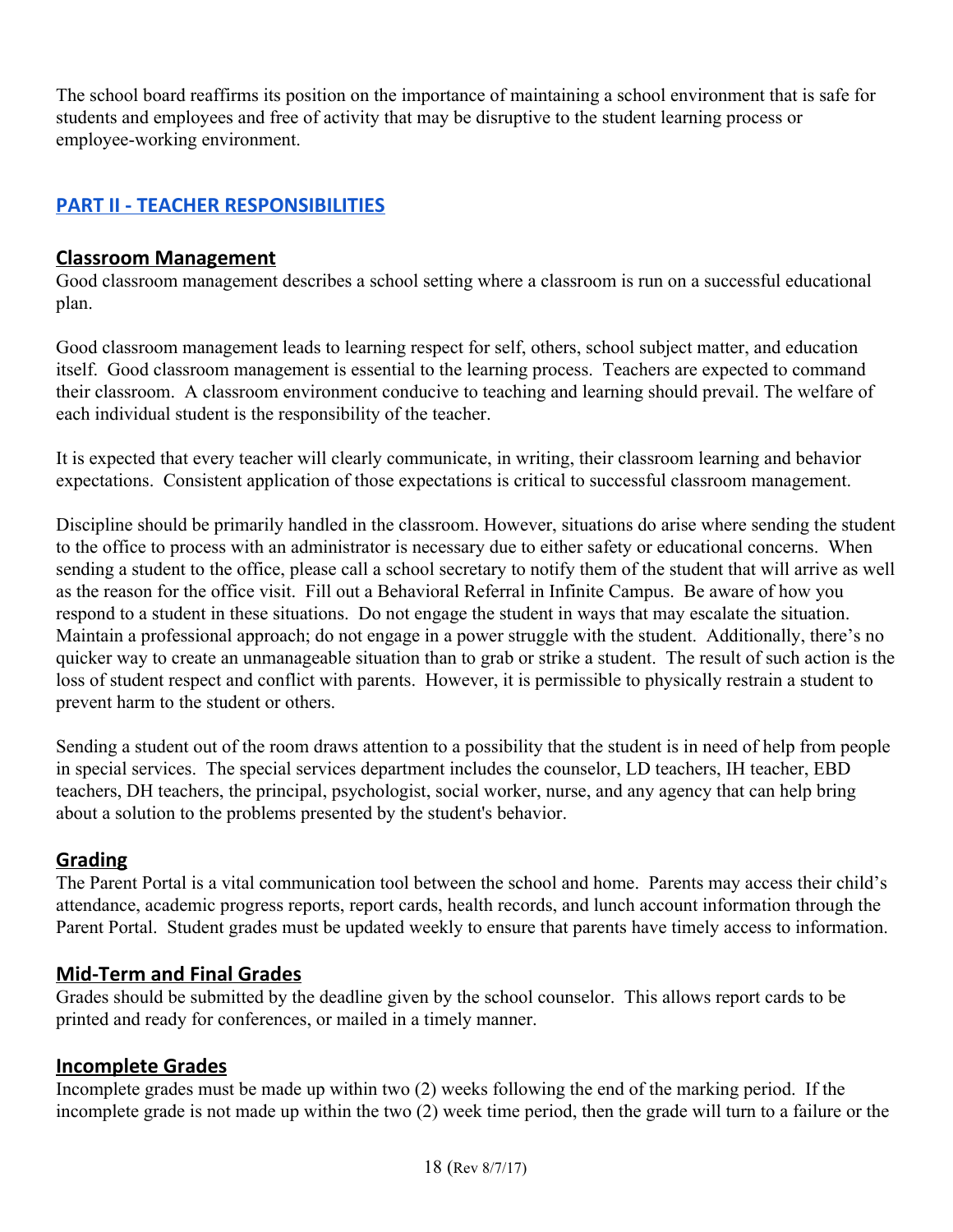The school board reaffirms its position on the importance of maintaining a school environment that is safe for students and employees and free of activity that may be disruptive to the student learning process or employee-working environment.

## <span id="page-17-1"></span>**PART II - TEACHER RESPONSIBILITIES**

#### <span id="page-17-4"></span>**Classroom Management**

Good classroom management describes a school setting where a classroom is run on a successful educational plan.

Good classroom management leads to learning respect for self, others, school subject matter, and education itself. Good classroom management is essential to the learning process. Teachers are expected to command their classroom. A classroom environment conducive to teaching and learning should prevail. The welfare of each individual student is the responsibility of the teacher.

It is expected that every teacher will clearly communicate, in writing, their classroom learning and behavior expectations. Consistent application of those expectations is critical to successful classroom management.

Discipline should be primarily handled in the classroom. However, situations do arise where sending the student to the office to process with an administrator is necessary due to either safety or educational concerns. When sending a student to the office, please call a school secretary to notify them of the student that will arrive as well as the reason for the office visit. Fill out a Behavioral Referral in Infinite Campus. Be aware of how you respond to a student in these situations. Do not engage the student in ways that may escalate the situation. Maintain a professional approach; do not engage in a power struggle with the student. Additionally, there's no quicker way to create an unmanageable situation than to grab or strike a student. The result of such action is the loss of student respect and conflict with parents. However, it is permissible to physically restrain a student to prevent harm to the student or others.

Sending a student out of the room draws attention to a possibility that the student is in need of help from people in special services. The special services department includes the counselor, LD teachers, IH teacher, EBD teachers, DH teachers, the principal, psychologist, social worker, nurse, and any agency that can help bring about a solution to the problems presented by the student's behavior.

## <span id="page-17-3"></span>**Grading**

The Parent Portal is a vital communication tool between the school and home. Parents may access their child's attendance, academic progress reports, report cards, health records, and lunch account information through the Parent Portal. Student grades must be updated weekly to ensure that parents have timely access to information.

## <span id="page-17-0"></span>**Mid-Term and Final Grades**

Grades should be submitted by the deadline given by the school counselor. This allows report cards to be printed and ready for conferences, or mailed in a timely manner.

## <span id="page-17-2"></span>**Incomplete Grades**

Incomplete grades must be made up within two (2) weeks following the end of the marking period. If the incomplete grade is not made up within the two (2) week time period, then the grade will turn to a failure or the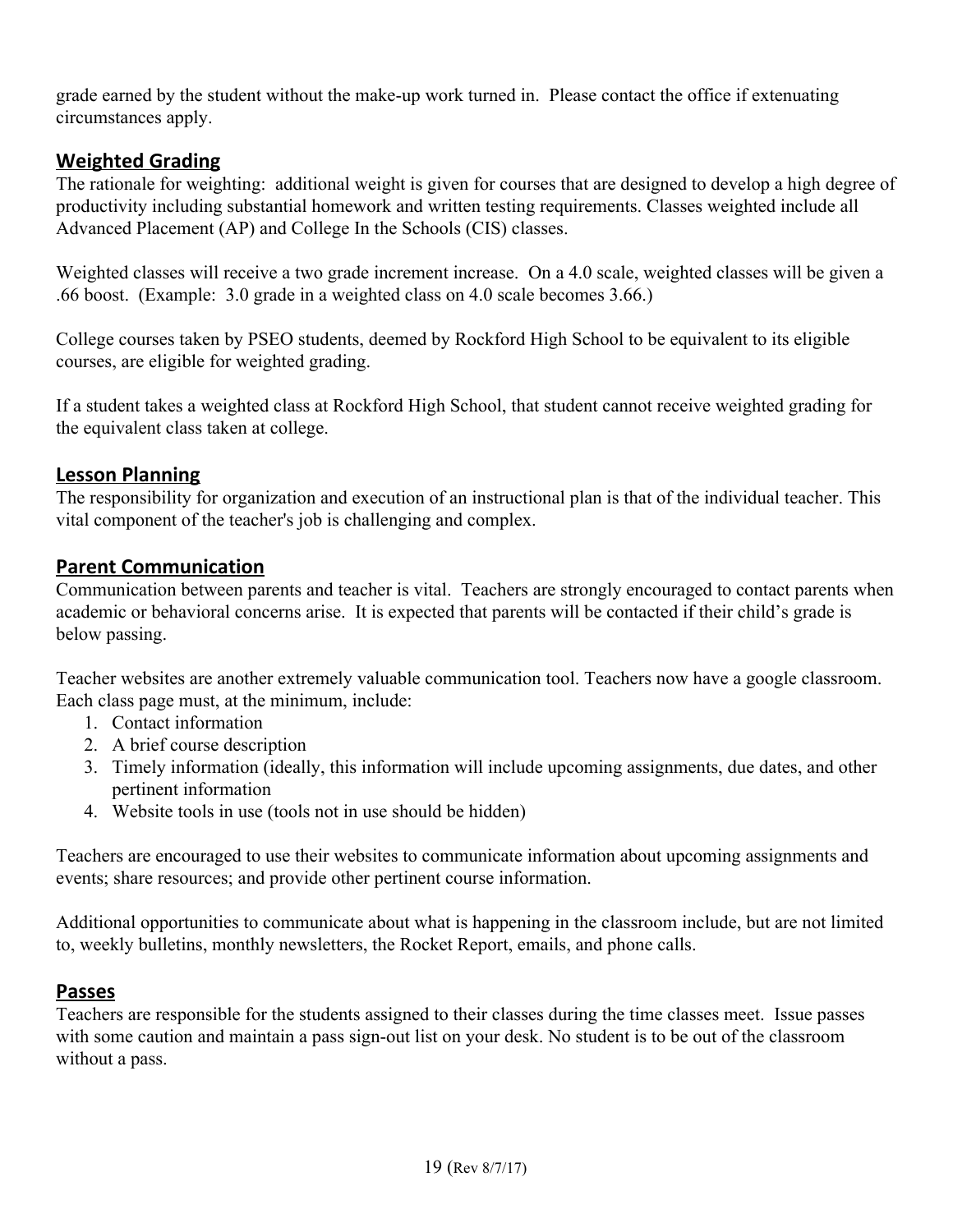grade earned by the student without the make-up work turned in. Please contact the office if extenuating circumstances apply.

## <span id="page-18-1"></span>**Weighted Grading**

The rationale for weighting: additional weight is given for courses that are designed to develop a high degree of productivity including substantial homework and written testing requirements. Classes weighted include all Advanced Placement (AP) and College In the Schools (CIS) classes.

Weighted classes will receive a two grade increment increase. On a 4.0 scale, weighted classes will be given a .66 boost. (Example: 3.0 grade in a weighted class on 4.0 scale becomes 3.66.)

College courses taken by PSEO students, deemed by Rockford High School to be equivalent to its eligible courses, are eligible for weighted grading.

If a student takes a weighted class at Rockford High School, that student cannot receive weighted grading for the equivalent class taken at college.

## <span id="page-18-0"></span>**Lesson Planning**

The responsibility for organization and execution of an instructional plan is that of the individual teacher. This vital component of the teacher's job is challenging and complex.

## <span id="page-18-2"></span>**Parent Communication**

Communication between parents and teacher is vital. Teachers are strongly encouraged to contact parents when academic or behavioral concerns arise. It is expected that parents will be contacted if their child's grade is below passing.

Teacher websites are another extremely valuable communication tool. Teachers now have a google classroom. Each class page must, at the minimum, include:

- 1. Contact information
- 2. A brief course description
- 3. Timely information (ideally, this information will include upcoming assignments, due dates, and other pertinent information
- 4. Website tools in use (tools not in use should be hidden)

Teachers are encouraged to use their websites to communicate information about upcoming assignments and events; share resources; and provide other pertinent course information.

Additional opportunities to communicate about what is happening in the classroom include, but are not limited to, weekly bulletins, monthly newsletters, the Rocket Report, emails, and phone calls.

## <span id="page-18-3"></span>**Passes**

Teachers are responsible for the students assigned to their classes during the time classes meet. Issue passes with some caution and maintain a pass sign-out list on your desk. No student is to be out of the classroom without a pass.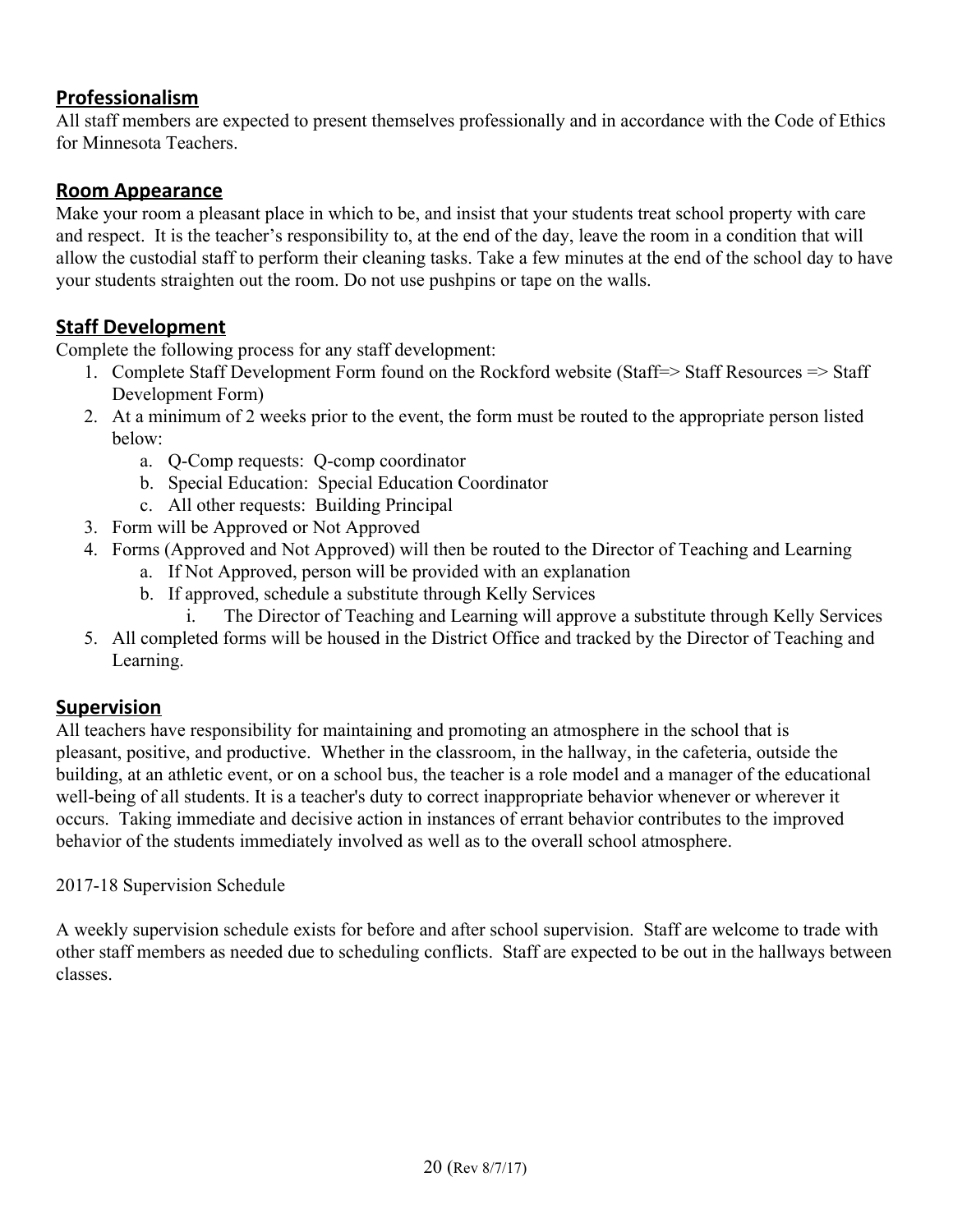## <span id="page-19-2"></span>**Professionalism**

All staff members are expected to present themselves professionally and in accordance with the Code of Ethics for Minnesota Teachers.

## <span id="page-19-3"></span>**Room Appearance**

Make your room a pleasant place in which to be, and insist that your students treat school property with care and respect. It is the teacher's responsibility to, at the end of the day, leave the room in a condition that will allow the custodial staff to perform their cleaning tasks. Take a few minutes at the end of the school day to have your students straighten out the room. Do not use pushpins or tape on the walls.

## <span id="page-19-1"></span>**Staff Development**

Complete the following process for any staff development:

- 1. Complete Staff Development Form found on the Rockford website (Staff=> Staff Resources => Staff Development Form)
- 2. At a minimum of 2 weeks prior to the event, the form must be routed to the appropriate person listed below:
	- a. Q-Comp requests: Q-comp coordinator
	- b. Special Education: Special Education Coordinator
	- c. All other requests: Building Principal
- 3. Form will be Approved or Not Approved
- 4. Forms (Approved and Not Approved) will then be routed to the Director of Teaching and Learning
	- a. If Not Approved, person will be provided with an explanation
	- b. If approved, schedule a substitute through Kelly Services
		- The Director of Teaching and Learning will approve a substitute through Kelly Services
- 5. All completed forms will be housed in the District Office and tracked by the Director of Teaching and Learning.

## <span id="page-19-0"></span>**Supervision**

All teachers have responsibility for maintaining and promoting an atmosphere in the school that is pleasant, positive, and productive. Whether in the classroom, in the hallway, in the cafeteria, outside the building, at an athletic event, or on a school bus, the teacher is a role model and a manager of the educational well-being of all students. It is a teacher's duty to correct inappropriate behavior whenever or wherever it occurs. Taking immediate and decisive action in instances of errant behavior contributes to the improved behavior of the students immediately involved as well as to the overall school atmosphere.

## 2017-18 Supervision Schedule

A weekly supervision schedule exists for before and after school supervision. Staff are welcome to trade with other staff members as needed due to scheduling conflicts. Staff are expected to be out in the hallways between classes.